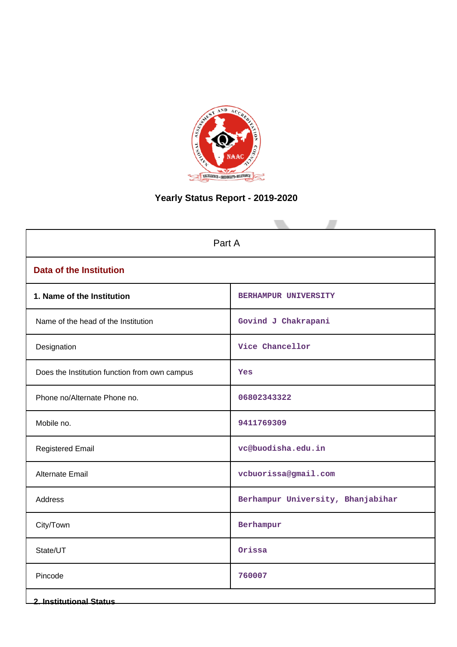

# **Yearly Status Report - 2019-2020**

| Part A                                        |                                   |  |  |  |  |  |  |  |
|-----------------------------------------------|-----------------------------------|--|--|--|--|--|--|--|
| <b>Data of the Institution</b>                |                                   |  |  |  |  |  |  |  |
| 1. Name of the Institution                    | <b>BERHAMPUR UNIVERSITY</b>       |  |  |  |  |  |  |  |
| Name of the head of the Institution           | Govind J Chakrapani               |  |  |  |  |  |  |  |
| Designation                                   | Vice Chancellor                   |  |  |  |  |  |  |  |
| Does the Institution function from own campus | Yes                               |  |  |  |  |  |  |  |
| Phone no/Alternate Phone no.                  | 06802343322                       |  |  |  |  |  |  |  |
| Mobile no.                                    | 9411769309                        |  |  |  |  |  |  |  |
| <b>Registered Email</b>                       | vc@buodisha.edu.in                |  |  |  |  |  |  |  |
| Alternate Email                               | vcbuorissa@gmail.com              |  |  |  |  |  |  |  |
| Address                                       | Berhampur University, Bhanjabihar |  |  |  |  |  |  |  |
| City/Town                                     | Berhampur                         |  |  |  |  |  |  |  |
| State/UT                                      | Orissa                            |  |  |  |  |  |  |  |
| Pincode                                       | 760007                            |  |  |  |  |  |  |  |
| <b>2. Institutional Status</b>                |                                   |  |  |  |  |  |  |  |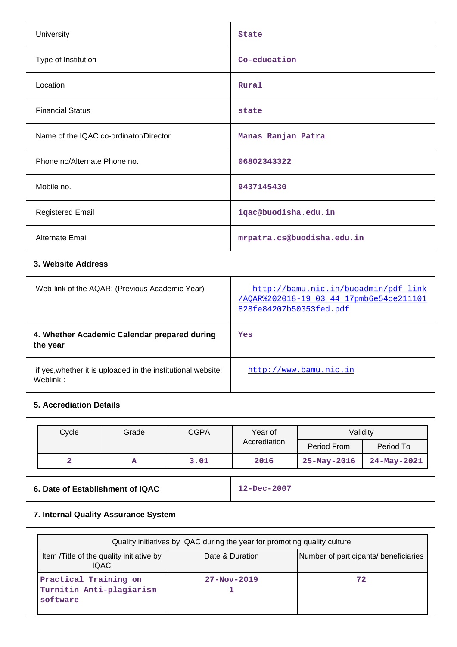| University                                                               |       |             | <b>State</b>                                                                                               |                            |             |  |  |
|--------------------------------------------------------------------------|-------|-------------|------------------------------------------------------------------------------------------------------------|----------------------------|-------------|--|--|
| Type of Institution                                                      |       |             | Co-education                                                                                               |                            |             |  |  |
| Location                                                                 |       |             | Rural                                                                                                      |                            |             |  |  |
| <b>Financial Status</b>                                                  |       |             | state                                                                                                      |                            |             |  |  |
| Name of the IQAC co-ordinator/Director                                   |       |             | Manas Ranjan Patra                                                                                         |                            |             |  |  |
| Phone no/Alternate Phone no.                                             |       |             | 06802343322                                                                                                |                            |             |  |  |
| Mobile no.                                                               |       |             | 9437145430                                                                                                 |                            |             |  |  |
| <b>Registered Email</b>                                                  |       |             | iqac@buodisha.edu.in                                                                                       |                            |             |  |  |
| Alternate Email                                                          |       |             |                                                                                                            | mrpatra.cs@buodisha.edu.in |             |  |  |
| 3. Website Address                                                       |       |             |                                                                                                            |                            |             |  |  |
| Web-link of the AQAR: (Previous Academic Year)                           |       |             | http://bamu.nic.in/buoadmin/pdf_link<br>/AQAR%202018-19 03 44 17pmb6e54ce211101<br>828fe84207b50353fed.pdf |                            |             |  |  |
| 4. Whether Academic Calendar prepared during<br>the year                 |       |             | Yes                                                                                                        |                            |             |  |  |
| if yes, whether it is uploaded in the institutional website:<br>Weblink: |       |             |                                                                                                            | http://www.bamu.nic.in     |             |  |  |
| <b>5. Accrediation Details</b>                                           |       |             |                                                                                                            |                            |             |  |  |
| Cycle                                                                    | Grade | <b>CGPA</b> | Year of                                                                                                    | Validity                   |             |  |  |
|                                                                          |       |             | Accrediation                                                                                               | Period From                | Period To   |  |  |
| $\overline{\mathbf{2}}$                                                  | Α     | 3.01        | 2016                                                                                                       | 25-May-2016                | 24-May-2021 |  |  |
| 6. Date of Establishment of IQAC                                         |       |             | 12-Dec-2007                                                                                                |                            |             |  |  |
| 7. Internal Quality Assurance System                                     |       |             |                                                                                                            |                            |             |  |  |

| Quality initiatives by IQAC during the year for promoting quality culture |                   |                                       |  |  |  |  |  |  |  |
|---------------------------------------------------------------------------|-------------------|---------------------------------------|--|--|--|--|--|--|--|
| Item / Title of the quality initiative by<br>IQAC.                        | Date & Duration   | Number of participants/ beneficiaries |  |  |  |  |  |  |  |
| Practical Training on<br>Turnitin Anti-plagiarism<br>software             | $27 - Nov - 2019$ | 72                                    |  |  |  |  |  |  |  |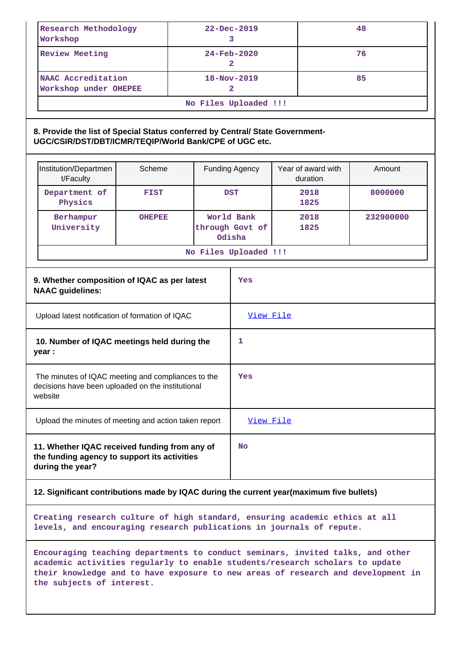| Research Methodology<br>Workshop                                                                                                                                                                                                                                                | $22 - Dec - 2019$<br>3 |  |                                   |                                         | 48 |                                |           |  |  |  |
|---------------------------------------------------------------------------------------------------------------------------------------------------------------------------------------------------------------------------------------------------------------------------------|------------------------|--|-----------------------------------|-----------------------------------------|----|--------------------------------|-----------|--|--|--|
| <b>Review Meeting</b>                                                                                                                                                                                                                                                           |                        |  | $24 - Feb - 2020$<br>$\mathbf{2}$ |                                         |    | 76                             |           |  |  |  |
| NAAC Accreditation<br>Workshop under OHEPEE                                                                                                                                                                                                                                     |                        |  |                                   | 18-Nov-2019<br>85<br>$\overline{2}$     |    |                                |           |  |  |  |
|                                                                                                                                                                                                                                                                                 |                        |  |                                   | No Files Uploaded !!!                   |    |                                |           |  |  |  |
| 8. Provide the list of Special Status conferred by Central/ State Government-<br>UGC/CSIR/DST/DBT/ICMR/TEQIP/World Bank/CPE of UGC etc.                                                                                                                                         |                        |  |                                   |                                         |    |                                |           |  |  |  |
| Institution/Departmen<br>t/Faculty                                                                                                                                                                                                                                              | Scheme                 |  |                                   | <b>Funding Agency</b>                   |    | Year of award with<br>duration | Amount    |  |  |  |
| Department of<br>Physics                                                                                                                                                                                                                                                        | <b>FIST</b>            |  |                                   | <b>DST</b>                              |    | 2018<br>1825                   | 8000000   |  |  |  |
| Berhampur<br>University                                                                                                                                                                                                                                                         | <b>OHEPEE</b>          |  |                                   | World Bank<br>through Govt of<br>Odisha |    | 2018<br>1825                   | 232900000 |  |  |  |
|                                                                                                                                                                                                                                                                                 |                        |  |                                   | No Files Uploaded !!!                   |    |                                |           |  |  |  |
| 9. Whether composition of IQAC as per latest<br>Yes<br><b>NAAC</b> guidelines:                                                                                                                                                                                                  |                        |  |                                   |                                         |    |                                |           |  |  |  |
| Upload latest notification of formation of IQAC                                                                                                                                                                                                                                 |                        |  |                                   | View File                               |    |                                |           |  |  |  |
| 10. Number of IQAC meetings held during the<br>year :                                                                                                                                                                                                                           |                        |  |                                   | 1                                       |    |                                |           |  |  |  |
| The minutes of IQAC meeting and compliances to the<br>decisions have been uploaded on the institutional<br>website                                                                                                                                                              |                        |  |                                   | Yes                                     |    |                                |           |  |  |  |
| Upload the minutes of meeting and action taken report                                                                                                                                                                                                                           |                        |  |                                   | View File                               |    |                                |           |  |  |  |
| 11. Whether IQAC received funding from any of<br>the funding agency to support its activities<br>during the year?                                                                                                                                                               |                        |  |                                   | <b>No</b>                               |    |                                |           |  |  |  |
| 12. Significant contributions made by IQAC during the current year(maximum five bullets)                                                                                                                                                                                        |                        |  |                                   |                                         |    |                                |           |  |  |  |
| Creating research culture of high standard, ensuring academic ethics at all<br>levels, and encouraging research publications in journals of repute.                                                                                                                             |                        |  |                                   |                                         |    |                                |           |  |  |  |
| Encouraging teaching departments to conduct seminars, invited talks, and other<br>academic activities regularly to enable students/research scholars to update<br>their knowledge and to have exposure to new areas of research and development in<br>the subjects of interest. |                        |  |                                   |                                         |    |                                |           |  |  |  |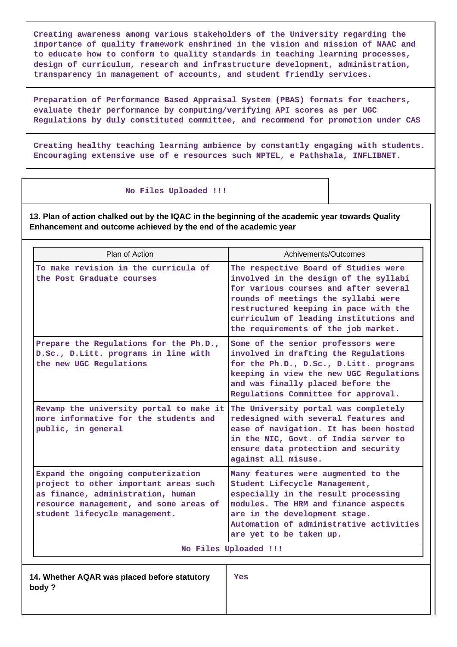**Creating awareness among various stakeholders of the University regarding the importance of quality framework enshrined in the vision and mission of NAAC and to educate how to conform to quality standards in teaching learning processes, design of curriculum, research and infrastructure development, administration, transparency in management of accounts, and student friendly services.**

**Preparation of Performance Based Appraisal System (PBAS) formats for teachers, evaluate their performance by computing/verifying API scores as per UGC Regulations by duly constituted committee, and recommend for promotion under CAS**

**Creating healthy teaching learning ambience by constantly engaging with students. Encouraging extensive use of e resources such NPTEL, e Pathshala, INFLIBNET.**

#### **No Files Uploaded !!!**

**13. Plan of action chalked out by the IQAC in the beginning of the academic year towards Quality Enhancement and outcome achieved by the end of the academic year**

| Plan of Action                                                                                                                                                                              | Achivements/Outcomes                                                                                                                                                                                                                                                                    |  |  |  |  |  |
|---------------------------------------------------------------------------------------------------------------------------------------------------------------------------------------------|-----------------------------------------------------------------------------------------------------------------------------------------------------------------------------------------------------------------------------------------------------------------------------------------|--|--|--|--|--|
| To make revision in the curricula of<br>the Post Graduate courses                                                                                                                           | The respective Board of Studies were<br>involved in the design of the syllabi<br>for various courses and after several<br>rounds of meetings the syllabi were<br>restructured keeping in pace with the<br>curriculum of leading institutions and<br>the requirements of the job market. |  |  |  |  |  |
| Prepare the Regulations for the Ph.D.,<br>D.Sc., D.Litt. programs in line with<br>the new UGC Regulations                                                                                   | Some of the senior professors were<br>involved in drafting the Regulations<br>for the Ph.D., D.Sc., D.Litt. programs<br>keeping in view the new UGC Regulations<br>and was finally placed before the<br>Regulations Committee for approval.                                             |  |  |  |  |  |
| Revamp the university portal to make it<br>more informative for the students and<br>public, in general                                                                                      | The University portal was completely<br>redesigned with several features and<br>ease of navigation. It has been hosted<br>in the NIC, Govt. of India server to<br>ensure data protection and security<br>against all misuse.                                                            |  |  |  |  |  |
| Expand the ongoing computerization<br>project to other important areas such<br>as finance, administration, human<br>resource management, and some areas of<br>student lifecycle management. | Many features were augmented to the<br>Student Lifecycle Management,<br>especially in the result processing<br>modules. The HRM and finance aspects<br>are in the development stage.<br>Automation of administrative activities<br>are yet to be taken up.                              |  |  |  |  |  |
|                                                                                                                                                                                             | No Files Uploaded !!!                                                                                                                                                                                                                                                                   |  |  |  |  |  |
| 14. Whether AQAR was placed before statutory<br>body?                                                                                                                                       | Yes                                                                                                                                                                                                                                                                                     |  |  |  |  |  |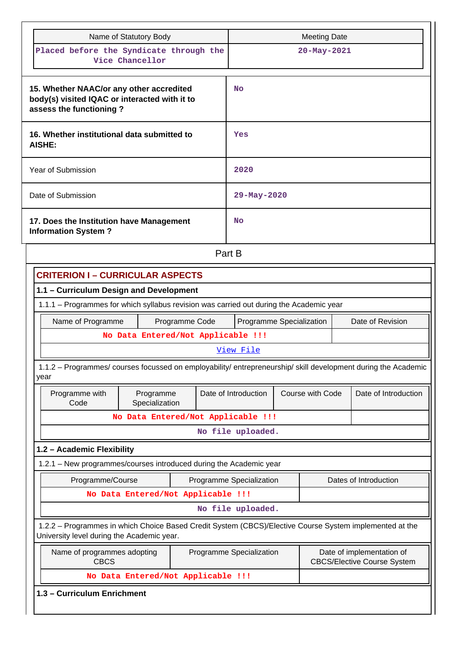| Name of Statutory Body                                                                                                                                | <b>Meeting Date</b>                                                                         |                  |                       |  |
|-------------------------------------------------------------------------------------------------------------------------------------------------------|---------------------------------------------------------------------------------------------|------------------|-----------------------|--|
| Placed before the Syndicate through the<br>Vice Chancellor                                                                                            |                                                                                             | 20-May-2021      |                       |  |
| 15. Whether NAAC/or any other accredited<br>body(s) visited IQAC or interacted with it to<br>assess the functioning?                                  | No                                                                                          |                  |                       |  |
| 16. Whether institutional data submitted to<br>AISHE:                                                                                                 | Yes                                                                                         |                  |                       |  |
| Year of Submission                                                                                                                                    | 2020                                                                                        |                  |                       |  |
| Date of Submission                                                                                                                                    | 29-May-2020                                                                                 |                  |                       |  |
| 17. Does the Institution have Management<br><b>Information System?</b>                                                                                | No                                                                                          |                  |                       |  |
|                                                                                                                                                       | Part B                                                                                      |                  |                       |  |
| <b>CRITERION I - CURRICULAR ASPECTS</b>                                                                                                               |                                                                                             |                  |                       |  |
| 1.1 - Curriculum Design and Development                                                                                                               |                                                                                             |                  |                       |  |
| 1.1.1 - Programmes for which syllabus revision was carried out during the Academic year                                                               |                                                                                             |                  |                       |  |
| Name of Programme<br>Programme Code                                                                                                                   | Programme Specialization<br>Date of Revision                                                |                  |                       |  |
| No Data Entered/Not Applicable !!!                                                                                                                    |                                                                                             |                  |                       |  |
|                                                                                                                                                       | View File                                                                                   |                  |                       |  |
| 1.1.2 - Programmes/ courses focussed on employability/ entrepreneurship/ skill development during the Academic<br>year                                |                                                                                             |                  |                       |  |
| Programme with<br>Programme<br>Code<br>Specialization                                                                                                 | Date of Introduction                                                                        | Course with Code | Date of Introduction  |  |
| No Data Entered/Not Applicable !!!                                                                                                                    |                                                                                             |                  |                       |  |
|                                                                                                                                                       | No file uploaded.                                                                           |                  |                       |  |
| 1.2 - Academic Flexibility                                                                                                                            |                                                                                             |                  |                       |  |
| 1.2.1 - New programmes/courses introduced during the Academic year                                                                                    |                                                                                             |                  |                       |  |
| Programme/Course                                                                                                                                      | Programme Specialization                                                                    |                  | Dates of Introduction |  |
| No Data Entered/Not Applicable !!!                                                                                                                    |                                                                                             |                  |                       |  |
|                                                                                                                                                       | No file uploaded.                                                                           |                  |                       |  |
| 1.2.2 - Programmes in which Choice Based Credit System (CBCS)/Elective Course System implemented at the<br>University level during the Academic year. |                                                                                             |                  |                       |  |
| Name of programmes adopting<br><b>CBCS</b>                                                                                                            | Date of implementation of<br>Programme Specialization<br><b>CBCS/Elective Course System</b> |                  |                       |  |
| No Data Entered/Not Applicable !!!                                                                                                                    |                                                                                             |                  |                       |  |
| 1.3 - Curriculum Enrichment                                                                                                                           |                                                                                             |                  |                       |  |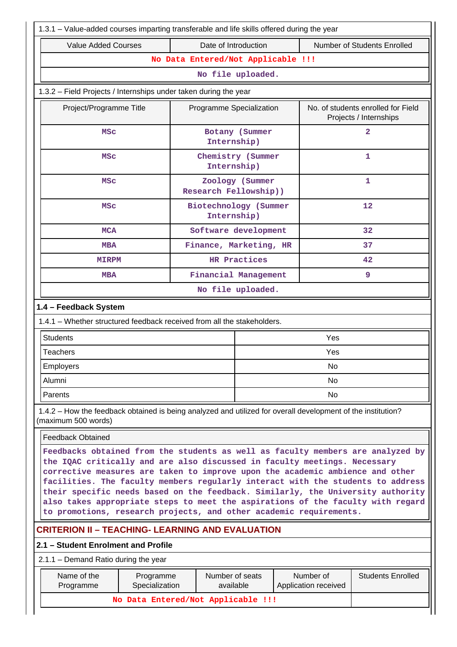| 1.3.1 - Value-added courses imparting transferable and life skills offered during the year                                                                                                                                                                                                                                                                                                                                                                                                                                                                                   |                                    |                                  |                 |  |                                   |                                                              |  |  |  |
|------------------------------------------------------------------------------------------------------------------------------------------------------------------------------------------------------------------------------------------------------------------------------------------------------------------------------------------------------------------------------------------------------------------------------------------------------------------------------------------------------------------------------------------------------------------------------|------------------------------------|----------------------------------|-----------------|--|-----------------------------------|--------------------------------------------------------------|--|--|--|
| <b>Value Added Courses</b>                                                                                                                                                                                                                                                                                                                                                                                                                                                                                                                                                   |                                    | Date of Introduction             |                 |  |                                   | Number of Students Enrolled                                  |  |  |  |
|                                                                                                                                                                                                                                                                                                                                                                                                                                                                                                                                                                              | No Data Entered/Not Applicable !!! |                                  |                 |  |                                   |                                                              |  |  |  |
| No file uploaded.                                                                                                                                                                                                                                                                                                                                                                                                                                                                                                                                                            |                                    |                                  |                 |  |                                   |                                                              |  |  |  |
| 1.3.2 - Field Projects / Internships under taken during the year                                                                                                                                                                                                                                                                                                                                                                                                                                                                                                             |                                    |                                  |                 |  |                                   |                                                              |  |  |  |
| Project/Programme Title                                                                                                                                                                                                                                                                                                                                                                                                                                                                                                                                                      |                                    | Programme Specialization         |                 |  |                                   | No. of students enrolled for Field<br>Projects / Internships |  |  |  |
| <b>MSC</b>                                                                                                                                                                                                                                                                                                                                                                                                                                                                                                                                                                   |                                    | Botany (Summer<br>Internship)    |                 |  |                                   | $\mathbf{2}$                                                 |  |  |  |
| <b>MSC</b>                                                                                                                                                                                                                                                                                                                                                                                                                                                                                                                                                                   |                                    | Chemistry (Summer<br>Internship) |                 |  |                                   | $\mathbf{1}$                                                 |  |  |  |
| <b>MSC</b>                                                                                                                                                                                                                                                                                                                                                                                                                                                                                                                                                                   |                                    | Research Fellowship))            | Zoology (Summer |  |                                   | 1                                                            |  |  |  |
| Biotechnology (Summer<br>12<br><b>MSC</b><br>Internship)                                                                                                                                                                                                                                                                                                                                                                                                                                                                                                                     |                                    |                                  |                 |  |                                   |                                                              |  |  |  |
| <b>MCA</b>                                                                                                                                                                                                                                                                                                                                                                                                                                                                                                                                                                   |                                    | Software development             |                 |  |                                   | 32                                                           |  |  |  |
| <b>MBA</b>                                                                                                                                                                                                                                                                                                                                                                                                                                                                                                                                                                   | Finance, Marketing, HR<br>37       |                                  |                 |  |                                   |                                                              |  |  |  |
| <b>MIRPM</b>                                                                                                                                                                                                                                                                                                                                                                                                                                                                                                                                                                 | HR Practices                       |                                  |                 |  |                                   | 42                                                           |  |  |  |
| Financial Management<br><b>MBA</b>                                                                                                                                                                                                                                                                                                                                                                                                                                                                                                                                           |                                    |                                  |                 |  |                                   | 9                                                            |  |  |  |
|                                                                                                                                                                                                                                                                                                                                                                                                                                                                                                                                                                              | No file uploaded.                  |                                  |                 |  |                                   |                                                              |  |  |  |
| 1.4 - Feedback System                                                                                                                                                                                                                                                                                                                                                                                                                                                                                                                                                        |                                    |                                  |                 |  |                                   |                                                              |  |  |  |
| 1.4.1 – Whether structured feedback received from all the stakeholders.                                                                                                                                                                                                                                                                                                                                                                                                                                                                                                      |                                    |                                  |                 |  |                                   |                                                              |  |  |  |
| <b>Students</b>                                                                                                                                                                                                                                                                                                                                                                                                                                                                                                                                                              |                                    |                                  |                 |  | Yes                               |                                                              |  |  |  |
| <b>Teachers</b>                                                                                                                                                                                                                                                                                                                                                                                                                                                                                                                                                              |                                    |                                  |                 |  | Yes                               |                                                              |  |  |  |
| Employers                                                                                                                                                                                                                                                                                                                                                                                                                                                                                                                                                                    |                                    |                                  |                 |  | N <sub>o</sub>                    |                                                              |  |  |  |
| Alumni                                                                                                                                                                                                                                                                                                                                                                                                                                                                                                                                                                       |                                    |                                  |                 |  | No                                |                                                              |  |  |  |
| Parents                                                                                                                                                                                                                                                                                                                                                                                                                                                                                                                                                                      |                                    |                                  |                 |  | No                                |                                                              |  |  |  |
| 1.4.2 – How the feedback obtained is being analyzed and utilized for overall development of the institution?<br>(maximum 500 words)                                                                                                                                                                                                                                                                                                                                                                                                                                          |                                    |                                  |                 |  |                                   |                                                              |  |  |  |
| <b>Feedback Obtained</b>                                                                                                                                                                                                                                                                                                                                                                                                                                                                                                                                                     |                                    |                                  |                 |  |                                   |                                                              |  |  |  |
| Feedbacks obtained from the students as well as faculty members are analyzed by<br>the IQAC critically and are also discussed in faculty meetings. Necessary<br>corrective measures are taken to improve upon the academic ambience and other<br>facilities. The faculty members regularly interact with the students to address<br>their specific needs based on the feedback. Similarly, the University authority<br>also takes appropriate steps to meet the aspirations of the faculty with regard<br>to promotions, research projects, and other academic requirements. |                                    |                                  |                 |  |                                   |                                                              |  |  |  |
| <b>CRITERION II – TEACHING- LEARNING AND EVALUATION</b>                                                                                                                                                                                                                                                                                                                                                                                                                                                                                                                      |                                    |                                  |                 |  |                                   |                                                              |  |  |  |
| 2.1 - Student Enrolment and Profile                                                                                                                                                                                                                                                                                                                                                                                                                                                                                                                                          |                                    |                                  |                 |  |                                   |                                                              |  |  |  |
| 2.1.1 – Demand Ratio during the year                                                                                                                                                                                                                                                                                                                                                                                                                                                                                                                                         |                                    |                                  |                 |  |                                   |                                                              |  |  |  |
| Name of the<br>Programme                                                                                                                                                                                                                                                                                                                                                                                                                                                                                                                                                     | Programme<br>Specialization        | Number of seats<br>available     |                 |  | Number of<br>Application received | <b>Students Enrolled</b>                                     |  |  |  |
|                                                                                                                                                                                                                                                                                                                                                                                                                                                                                                                                                                              | No Data Entered/Not Applicable !!! |                                  |                 |  |                                   |                                                              |  |  |  |
|                                                                                                                                                                                                                                                                                                                                                                                                                                                                                                                                                                              |                                    |                                  |                 |  |                                   |                                                              |  |  |  |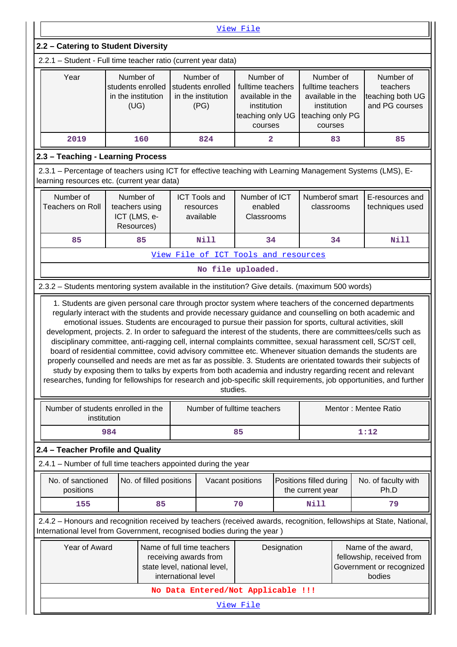| View File                                                                                                                                                                                                                                                                                                                                                                                                                                                              |                                                                                                                                                                                                                                     |    |                                                                                                                                                                                                                                  |           |  |                                             |    |                                                                                                                |  |  |
|------------------------------------------------------------------------------------------------------------------------------------------------------------------------------------------------------------------------------------------------------------------------------------------------------------------------------------------------------------------------------------------------------------------------------------------------------------------------|-------------------------------------------------------------------------------------------------------------------------------------------------------------------------------------------------------------------------------------|----|----------------------------------------------------------------------------------------------------------------------------------------------------------------------------------------------------------------------------------|-----------|--|---------------------------------------------|----|----------------------------------------------------------------------------------------------------------------|--|--|
| 2.2 - Catering to Student Diversity                                                                                                                                                                                                                                                                                                                                                                                                                                    |                                                                                                                                                                                                                                     |    |                                                                                                                                                                                                                                  |           |  |                                             |    |                                                                                                                |  |  |
| 2.2.1 - Student - Full time teacher ratio (current year data)                                                                                                                                                                                                                                                                                                                                                                                                          |                                                                                                                                                                                                                                     |    |                                                                                                                                                                                                                                  |           |  |                                             |    |                                                                                                                |  |  |
| Number of<br>Number of<br>Year<br>Number of<br>Number of<br>Number of<br>students enrolled<br>students enrolled<br>fulltime teachers<br>fulltime teachers<br>teachers<br>in the institution<br>in the institution<br>available in the<br>available in the<br>teaching both UG<br>(UG)<br>and PG courses<br>(PG)<br>institution<br>institution<br>teaching only UG<br>teaching only PG<br>courses<br>courses                                                            |                                                                                                                                                                                                                                     |    |                                                                                                                                                                                                                                  |           |  |                                             |    |                                                                                                                |  |  |
| 2019<br>160<br>824<br>2<br>83<br>85                                                                                                                                                                                                                                                                                                                                                                                                                                    |                                                                                                                                                                                                                                     |    |                                                                                                                                                                                                                                  |           |  |                                             |    |                                                                                                                |  |  |
| 2.3 - Teaching - Learning Process                                                                                                                                                                                                                                                                                                                                                                                                                                      |                                                                                                                                                                                                                                     |    |                                                                                                                                                                                                                                  |           |  |                                             |    |                                                                                                                |  |  |
| 2.3.1 - Percentage of teachers using ICT for effective teaching with Learning Management Systems (LMS), E-<br>learning resources etc. (current year data)                                                                                                                                                                                                                                                                                                              |                                                                                                                                                                                                                                     |    |                                                                                                                                                                                                                                  |           |  |                                             |    |                                                                                                                |  |  |
| Number of<br>Number of<br>Numberof smart<br><b>ICT Tools and</b><br>Number of ICT<br>E-resources and<br><b>Teachers on Roll</b><br>teachers using<br>enabled<br>classrooms<br>techniques used<br>resources<br>ICT (LMS, e-<br>available<br>Classrooms<br>Resources)                                                                                                                                                                                                    |                                                                                                                                                                                                                                     |    |                                                                                                                                                                                                                                  |           |  |                                             |    |                                                                                                                |  |  |
| 85                                                                                                                                                                                                                                                                                                                                                                                                                                                                     | 85                                                                                                                                                                                                                                  |    | <b>Nill</b>                                                                                                                                                                                                                      | 34        |  |                                             | 34 | Nill                                                                                                           |  |  |
|                                                                                                                                                                                                                                                                                                                                                                                                                                                                        |                                                                                                                                                                                                                                     |    | View File of ICT Tools and resources                                                                                                                                                                                             |           |  |                                             |    |                                                                                                                |  |  |
|                                                                                                                                                                                                                                                                                                                                                                                                                                                                        |                                                                                                                                                                                                                                     |    | No file uploaded.                                                                                                                                                                                                                |           |  |                                             |    |                                                                                                                |  |  |
| 2.3.2 - Students mentoring system available in the institution? Give details. (maximum 500 words)                                                                                                                                                                                                                                                                                                                                                                      |                                                                                                                                                                                                                                     |    |                                                                                                                                                                                                                                  |           |  |                                             |    |                                                                                                                |  |  |
| development, projects. 2. In order to safeguard the interest of the students, there are committees/cells such as<br>disciplinary committee, anti-ragging cell, internal complaints committee, sexual harassment cell, SC/ST cell,<br>board of residential committee, covid advisory committee etc. Whenever situation demands the students are<br>researches, funding for fellowships for research and job-specific skill requirements, job opportunities, and further |                                                                                                                                                                                                                                     |    | emotional issues. Students are encouraged to pursue their passion for sports, cultural activities, skill<br>study by exposing them to talks by experts from both academia and industry regarding recent and relevant<br>studies. |           |  |                                             |    | properly counselled and needs are met as far as possible. 3. Students are orientated towards their subjects of |  |  |
| Number of students enrolled in the<br>institution                                                                                                                                                                                                                                                                                                                                                                                                                      |                                                                                                                                                                                                                                     |    | Number of fulltime teachers                                                                                                                                                                                                      |           |  |                                             |    | Mentor: Mentee Ratio                                                                                           |  |  |
|                                                                                                                                                                                                                                                                                                                                                                                                                                                                        | 984                                                                                                                                                                                                                                 |    |                                                                                                                                                                                                                                  | 85        |  |                                             |    | 1:12                                                                                                           |  |  |
| 2.4 - Teacher Profile and Quality                                                                                                                                                                                                                                                                                                                                                                                                                                      |                                                                                                                                                                                                                                     |    |                                                                                                                                                                                                                                  |           |  |                                             |    |                                                                                                                |  |  |
| 2.4.1 - Number of full time teachers appointed during the year                                                                                                                                                                                                                                                                                                                                                                                                         |                                                                                                                                                                                                                                     |    |                                                                                                                                                                                                                                  |           |  |                                             |    |                                                                                                                |  |  |
| No. of sanctioned<br>positions                                                                                                                                                                                                                                                                                                                                                                                                                                         | No. of filled positions                                                                                                                                                                                                             |    | Vacant positions                                                                                                                                                                                                                 |           |  | Positions filled during<br>the current year |    | No. of faculty with<br>Ph.D                                                                                    |  |  |
| 155                                                                                                                                                                                                                                                                                                                                                                                                                                                                    |                                                                                                                                                                                                                                     | 85 |                                                                                                                                                                                                                                  | 70        |  | <b>Nill</b>                                 |    | 79                                                                                                             |  |  |
| 2.4.2 - Honours and recognition received by teachers (received awards, recognition, fellowships at State, National,<br>International level from Government, recognised bodies during the year)                                                                                                                                                                                                                                                                         |                                                                                                                                                                                                                                     |    |                                                                                                                                                                                                                                  |           |  |                                             |    |                                                                                                                |  |  |
|                                                                                                                                                                                                                                                                                                                                                                                                                                                                        | Year of Award<br>Name of full time teachers<br>Designation<br>Name of the award,<br>fellowship, received from<br>receiving awards from<br>state level, national level,<br>Government or recognized<br>international level<br>bodies |    |                                                                                                                                                                                                                                  |           |  |                                             |    |                                                                                                                |  |  |
|                                                                                                                                                                                                                                                                                                                                                                                                                                                                        |                                                                                                                                                                                                                                     |    | No Data Entered/Not Applicable !!!                                                                                                                                                                                               |           |  |                                             |    |                                                                                                                |  |  |
|                                                                                                                                                                                                                                                                                                                                                                                                                                                                        |                                                                                                                                                                                                                                     |    |                                                                                                                                                                                                                                  | View File |  |                                             |    |                                                                                                                |  |  |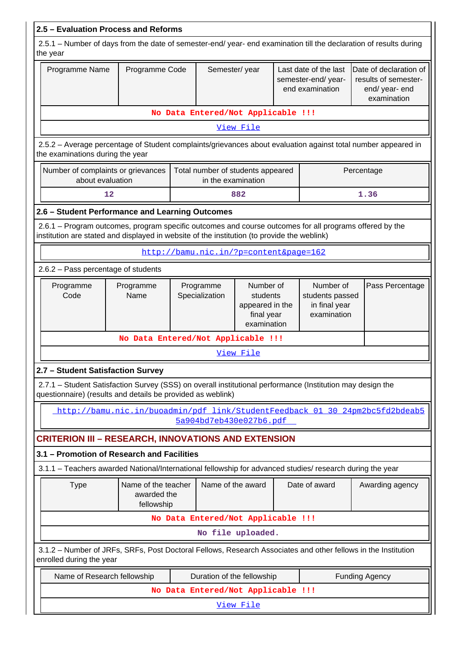|                                                                                                                                                                                                        | 2.5 - Evaluation Process and Reforms                                         |                                                                                                      |                                        |                                                              |  |                                                                |  |                                                                                 |  |  |
|--------------------------------------------------------------------------------------------------------------------------------------------------------------------------------------------------------|------------------------------------------------------------------------------|------------------------------------------------------------------------------------------------------|----------------------------------------|--------------------------------------------------------------|--|----------------------------------------------------------------|--|---------------------------------------------------------------------------------|--|--|
| 2.5.1 - Number of days from the date of semester-end/ year- end examination till the declaration of results during<br>the year                                                                         |                                                                              |                                                                                                      |                                        |                                                              |  |                                                                |  |                                                                                 |  |  |
| Programme Name                                                                                                                                                                                         | Programme Code                                                               |                                                                                                      |                                        | Semester/year                                                |  | Last date of the last<br>semester-end/year-<br>end examination |  | Date of declaration of<br>results of semester-<br>end/ year- end<br>examination |  |  |
|                                                                                                                                                                                                        |                                                                              |                                                                                                      | No Data Entered/Not Applicable !!!     |                                                              |  |                                                                |  |                                                                                 |  |  |
|                                                                                                                                                                                                        |                                                                              |                                                                                                      |                                        | View File                                                    |  |                                                                |  |                                                                                 |  |  |
| 2.5.2 - Average percentage of Student complaints/grievances about evaluation against total number appeared in<br>the examinations during the year                                                      |                                                                              |                                                                                                      |                                        |                                                              |  |                                                                |  |                                                                                 |  |  |
| Number of complaints or grievances<br>Total number of students appeared<br>Percentage<br>about evaluation<br>in the examination                                                                        |                                                                              |                                                                                                      |                                        |                                                              |  |                                                                |  |                                                                                 |  |  |
| 12                                                                                                                                                                                                     |                                                                              |                                                                                                      |                                        | 882                                                          |  |                                                                |  | 1.36                                                                            |  |  |
| 2.6 - Student Performance and Learning Outcomes                                                                                                                                                        |                                                                              |                                                                                                      |                                        |                                                              |  |                                                                |  |                                                                                 |  |  |
| 2.6.1 – Program outcomes, program specific outcomes and course outcomes for all programs offered by the<br>institution are stated and displayed in website of the institution (to provide the weblink) |                                                                              |                                                                                                      |                                        |                                                              |  |                                                                |  |                                                                                 |  |  |
|                                                                                                                                                                                                        |                                                                              |                                                                                                      | http://bamu.nic.in/?p=content&page=162 |                                                              |  |                                                                |  |                                                                                 |  |  |
| 2.6.2 - Pass percentage of students                                                                                                                                                                    |                                                                              |                                                                                                      |                                        |                                                              |  |                                                                |  |                                                                                 |  |  |
| Programme<br>Code                                                                                                                                                                                      | Programme<br>Name                                                            | Number of<br>Programme<br>Specialization<br>students<br>appeared in the<br>final year<br>examination |                                        | Number of<br>students passed<br>in final year<br>examination |  | Pass Percentage                                                |  |                                                                                 |  |  |
|                                                                                                                                                                                                        | No Data Entered/Not Applicable !!!                                           |                                                                                                      |                                        |                                                              |  |                                                                |  |                                                                                 |  |  |
|                                                                                                                                                                                                        |                                                                              |                                                                                                      |                                        | View File                                                    |  |                                                                |  |                                                                                 |  |  |
| 2.7 - Student Satisfaction Survey                                                                                                                                                                      |                                                                              |                                                                                                      |                                        |                                                              |  |                                                                |  |                                                                                 |  |  |
| 2.7.1 - Student Satisfaction Survey (SSS) on overall institutional performance (Institution may design the<br>questionnaire) (results and details be provided as weblink)                              |                                                                              |                                                                                                      |                                        |                                                              |  |                                                                |  |                                                                                 |  |  |
|                                                                                                                                                                                                        | http://bamu.nic.in/buoadmin/pdf link/StudentFeedback 01 30 24pm2bc5fd2bdeab5 |                                                                                                      | 5a904bd7eb430e027b6.pdf                |                                                              |  |                                                                |  |                                                                                 |  |  |
| <b>CRITERION III - RESEARCH, INNOVATIONS AND EXTENSION</b>                                                                                                                                             |                                                                              |                                                                                                      |                                        |                                                              |  |                                                                |  |                                                                                 |  |  |
| 3.1 - Promotion of Research and Facilities                                                                                                                                                             |                                                                              |                                                                                                      |                                        |                                                              |  |                                                                |  |                                                                                 |  |  |
| 3.1.1 – Teachers awarded National/International fellowship for advanced studies/ research during the year                                                                                              |                                                                              |                                                                                                      |                                        |                                                              |  |                                                                |  |                                                                                 |  |  |
| <b>Type</b>                                                                                                                                                                                            | Name of the teacher<br>awarded the<br>fellowship                             |                                                                                                      | Name of the award                      |                                                              |  | Date of award                                                  |  | Awarding agency                                                                 |  |  |
|                                                                                                                                                                                                        |                                                                              |                                                                                                      | No Data Entered/Not Applicable !!!     |                                                              |  |                                                                |  |                                                                                 |  |  |
|                                                                                                                                                                                                        |                                                                              |                                                                                                      | No file uploaded.                      |                                                              |  |                                                                |  |                                                                                 |  |  |
| 3.1.2 - Number of JRFs, SRFs, Post Doctoral Fellows, Research Associates and other fellows in the Institution<br>enrolled during the year                                                              |                                                                              |                                                                                                      |                                        |                                                              |  |                                                                |  |                                                                                 |  |  |
| Name of Research fellowship                                                                                                                                                                            |                                                                              |                                                                                                      | Duration of the fellowship             |                                                              |  |                                                                |  | <b>Funding Agency</b>                                                           |  |  |
|                                                                                                                                                                                                        |                                                                              |                                                                                                      | No Data Entered/Not Applicable !!!     |                                                              |  |                                                                |  |                                                                                 |  |  |
|                                                                                                                                                                                                        |                                                                              |                                                                                                      |                                        | <u>View File</u>                                             |  |                                                                |  |                                                                                 |  |  |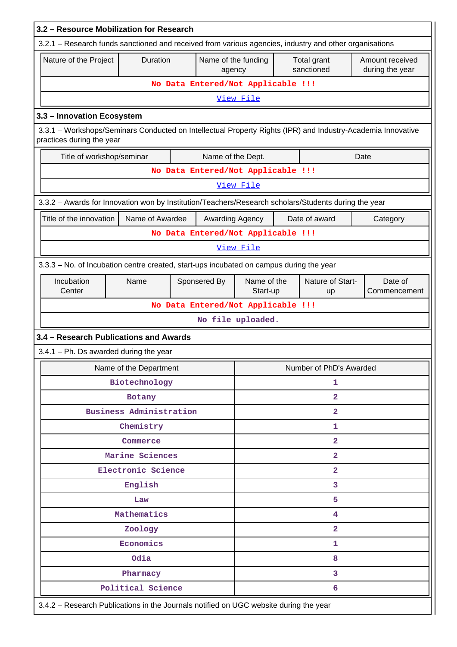| 3.2 - Resource Mobilization for Research                                                                                                 |                                    |                                    |                               |                |                           |                                    |  |  |  |
|------------------------------------------------------------------------------------------------------------------------------------------|------------------------------------|------------------------------------|-------------------------------|----------------|---------------------------|------------------------------------|--|--|--|
| 3.2.1 – Research funds sanctioned and received from various agencies, industry and other organisations                                   |                                    |                                    |                               |                |                           |                                    |  |  |  |
| Nature of the Project                                                                                                                    | Duration                           |                                    | Name of the funding<br>agency |                | Total grant<br>sanctioned | Amount received<br>during the year |  |  |  |
|                                                                                                                                          |                                    | No Data Entered/Not Applicable !!! |                               |                |                           |                                    |  |  |  |
|                                                                                                                                          |                                    |                                    | View File                     |                |                           |                                    |  |  |  |
| 3.3 - Innovation Ecosystem                                                                                                               |                                    |                                    |                               |                |                           |                                    |  |  |  |
| 3.3.1 - Workshops/Seminars Conducted on Intellectual Property Rights (IPR) and Industry-Academia Innovative<br>practices during the year |                                    |                                    |                               |                |                           |                                    |  |  |  |
| Title of workshop/seminar<br>Name of the Dept.<br>Date                                                                                   |                                    |                                    |                               |                |                           |                                    |  |  |  |
|                                                                                                                                          |                                    | No Data Entered/Not Applicable !!! |                               |                |                           |                                    |  |  |  |
|                                                                                                                                          |                                    |                                    | View File                     |                |                           |                                    |  |  |  |
| 3.3.2 - Awards for Innovation won by Institution/Teachers/Research scholars/Students during the year                                     |                                    |                                    |                               |                |                           |                                    |  |  |  |
| Title of the innovation                                                                                                                  | Name of Awardee                    |                                    | Awarding Agency               |                | Date of award             | Category                           |  |  |  |
|                                                                                                                                          |                                    | No Data Entered/Not Applicable !!! |                               |                |                           |                                    |  |  |  |
|                                                                                                                                          |                                    |                                    | View File                     |                |                           |                                    |  |  |  |
| 3.3.3 - No. of Incubation centre created, start-ups incubated on campus during the year                                                  |                                    |                                    |                               |                |                           |                                    |  |  |  |
| Incubation<br>Center                                                                                                                     | Name                               | Sponsered By                       | Name of the<br>Start-up       |                | Nature of Start-<br>up    | Date of<br>Commencement            |  |  |  |
|                                                                                                                                          | No Data Entered/Not Applicable !!! |                                    |                               |                |                           |                                    |  |  |  |
|                                                                                                                                          |                                    |                                    | No file uploaded.             |                |                           |                                    |  |  |  |
| 3.4 - Research Publications and Awards                                                                                                   |                                    |                                    |                               |                |                           |                                    |  |  |  |
| 3.4.1 - Ph. Ds awarded during the year                                                                                                   |                                    |                                    |                               |                |                           |                                    |  |  |  |
|                                                                                                                                          | Name of the Department             |                                    |                               |                | Number of PhD's Awarded   |                                    |  |  |  |
|                                                                                                                                          | Biotechnology                      |                                    |                               | 1              |                           |                                    |  |  |  |
|                                                                                                                                          | Botany                             |                                    |                               | $\overline{2}$ |                           |                                    |  |  |  |
|                                                                                                                                          | <b>Business Administration</b>     |                                    |                               |                | $\overline{\mathbf{2}}$   |                                    |  |  |  |
|                                                                                                                                          | Chemistry                          |                                    |                               |                | 1                         |                                    |  |  |  |
|                                                                                                                                          | Commerce                           |                                    |                               |                | $\overline{a}$            |                                    |  |  |  |
|                                                                                                                                          | Marine Sciences                    |                                    |                               |                | $\overline{\mathbf{2}}$   |                                    |  |  |  |
|                                                                                                                                          | Electronic Science                 |                                    |                               |                | $\overline{2}$            |                                    |  |  |  |
|                                                                                                                                          | English                            |                                    |                               |                | 3                         |                                    |  |  |  |
|                                                                                                                                          | Law                                |                                    |                               |                | 5                         |                                    |  |  |  |
|                                                                                                                                          | Mathematics                        |                                    |                               |                | 4                         |                                    |  |  |  |
|                                                                                                                                          | Zoology                            |                                    |                               |                | $\overline{a}$            |                                    |  |  |  |
|                                                                                                                                          | Economics                          |                                    |                               |                | 1                         |                                    |  |  |  |
|                                                                                                                                          | Odia                               |                                    |                               |                | 8                         |                                    |  |  |  |
|                                                                                                                                          | Pharmacy                           |                                    |                               |                | 3                         |                                    |  |  |  |
|                                                                                                                                          | Political Science                  |                                    |                               |                | 6                         |                                    |  |  |  |
| 3.4.2 - Research Publications in the Journals notified on UGC website during the year                                                    |                                    |                                    |                               |                |                           |                                    |  |  |  |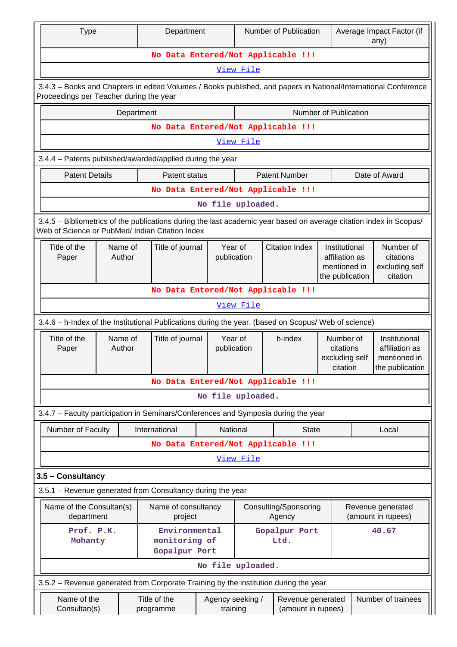| <b>Type</b>                                                                                                                                                           |                                                                                                                                                            |  | Department                                      |                              | Number of Publication                                              |                                         |                                                      | Average Impact Factor (if<br>any)                    |                                                                    |  |
|-----------------------------------------------------------------------------------------------------------------------------------------------------------------------|------------------------------------------------------------------------------------------------------------------------------------------------------------|--|-------------------------------------------------|------------------------------|--------------------------------------------------------------------|-----------------------------------------|------------------------------------------------------|------------------------------------------------------|--------------------------------------------------------------------|--|
|                                                                                                                                                                       |                                                                                                                                                            |  | No Data Entered/Not Applicable !!!              |                              |                                                                    |                                         |                                                      |                                                      |                                                                    |  |
|                                                                                                                                                                       |                                                                                                                                                            |  |                                                 |                              | View File                                                          |                                         |                                                      |                                                      |                                                                    |  |
|                                                                                                                                                                       | 3.4.3 - Books and Chapters in edited Volumes / Books published, and papers in National/International Conference<br>Proceedings per Teacher during the year |  |                                                 |                              |                                                                    |                                         |                                                      |                                                      |                                                                    |  |
|                                                                                                                                                                       | Number of Publication<br>Department                                                                                                                        |  |                                                 |                              |                                                                    |                                         |                                                      |                                                      |                                                                    |  |
|                                                                                                                                                                       |                                                                                                                                                            |  | No Data Entered/Not Applicable !!!              |                              |                                                                    |                                         |                                                      |                                                      |                                                                    |  |
|                                                                                                                                                                       |                                                                                                                                                            |  |                                                 |                              | View File                                                          |                                         |                                                      |                                                      |                                                                    |  |
|                                                                                                                                                                       | 3.4.4 - Patents published/awarded/applied during the year                                                                                                  |  |                                                 |                              |                                                                    |                                         |                                                      |                                                      |                                                                    |  |
| <b>Patent Details</b>                                                                                                                                                 |                                                                                                                                                            |  | Patent status                                   |                              |                                                                    | <b>Patent Number</b>                    |                                                      |                                                      | Date of Award                                                      |  |
|                                                                                                                                                                       |                                                                                                                                                            |  | No Data Entered/Not Applicable !!!              |                              |                                                                    |                                         |                                                      |                                                      |                                                                    |  |
|                                                                                                                                                                       |                                                                                                                                                            |  |                                                 | No file uploaded.            |                                                                    |                                         |                                                      |                                                      |                                                                    |  |
| 3.4.5 - Bibliometrics of the publications during the last academic year based on average citation index in Scopus/<br>Web of Science or PubMed/ Indian Citation Index |                                                                                                                                                            |  |                                                 |                              |                                                                    |                                         |                                                      |                                                      |                                                                    |  |
| Title of the<br>Title of journal<br>Year of<br>Name of<br>Author<br>publication<br>Paper                                                                              |                                                                                                                                                            |  |                                                 | <b>Citation Index</b>        | Institutional<br>affiliation as<br>mentioned in<br>the publication |                                         | Number of<br>citations<br>excluding self<br>citation |                                                      |                                                                    |  |
|                                                                                                                                                                       | No Data Entered/Not Applicable !!!                                                                                                                         |  |                                                 |                              |                                                                    |                                         |                                                      |                                                      |                                                                    |  |
|                                                                                                                                                                       |                                                                                                                                                            |  |                                                 |                              | View File                                                          |                                         |                                                      |                                                      |                                                                    |  |
| 3.4.6 - h-Index of the Institutional Publications during the year. (based on Scopus/ Web of science)                                                                  |                                                                                                                                                            |  |                                                 |                              |                                                                    |                                         |                                                      |                                                      |                                                                    |  |
| Title of the<br>Paper                                                                                                                                                 | Name of<br>Author                                                                                                                                          |  | Title of journal                                | publication                  | Year of<br>h-index                                                 |                                         |                                                      | Number of<br>citations<br>excluding self<br>citation | Institutional<br>affiliation as<br>mentioned in<br>the publication |  |
|                                                                                                                                                                       |                                                                                                                                                            |  | No Data Entered/Not Applicable !!!              |                              |                                                                    |                                         |                                                      |                                                      |                                                                    |  |
|                                                                                                                                                                       |                                                                                                                                                            |  |                                                 | No file uploaded.            |                                                                    |                                         |                                                      |                                                      |                                                                    |  |
| 3.4.7 - Faculty participation in Seminars/Conferences and Symposia during the year                                                                                    |                                                                                                                                                            |  |                                                 |                              |                                                                    |                                         |                                                      |                                                      |                                                                    |  |
| Number of Faculty                                                                                                                                                     |                                                                                                                                                            |  | International                                   | National                     |                                                                    | <b>State</b>                            |                                                      |                                                      | Local                                                              |  |
|                                                                                                                                                                       |                                                                                                                                                            |  | No Data Entered/Not Applicable !!!              |                              |                                                                    |                                         |                                                      |                                                      |                                                                    |  |
|                                                                                                                                                                       |                                                                                                                                                            |  |                                                 |                              | View File                                                          |                                         |                                                      |                                                      |                                                                    |  |
| 3.5 - Consultancy                                                                                                                                                     |                                                                                                                                                            |  |                                                 |                              |                                                                    |                                         |                                                      |                                                      |                                                                    |  |
| 3.5.1 - Revenue generated from Consultancy during the year                                                                                                            |                                                                                                                                                            |  |                                                 |                              |                                                                    |                                         |                                                      |                                                      |                                                                    |  |
| Name of the Consultan(s)<br>department                                                                                                                                |                                                                                                                                                            |  | Name of consultancy<br>project                  |                              |                                                                    | Consulting/Sponsoring<br>Agency         |                                                      |                                                      | Revenue generated<br>(amount in rupees)                            |  |
| Prof. P.K.<br>Mohanty                                                                                                                                                 |                                                                                                                                                            |  | Environmental<br>monitoring of<br>Gopalpur Port |                              | Gopalpur Port<br>Ltd.                                              |                                         |                                                      |                                                      | 40.67                                                              |  |
|                                                                                                                                                                       |                                                                                                                                                            |  |                                                 | No file uploaded.            |                                                                    |                                         |                                                      |                                                      |                                                                    |  |
| 3.5.2 – Revenue generated from Corporate Training by the institution during the year                                                                                  |                                                                                                                                                            |  |                                                 |                              |                                                                    |                                         |                                                      |                                                      |                                                                    |  |
| Name of the<br>Consultan(s)                                                                                                                                           |                                                                                                                                                            |  | Title of the<br>programme                       | Agency seeking /<br>training |                                                                    | Revenue generated<br>(amount in rupees) |                                                      |                                                      | Number of trainees                                                 |  |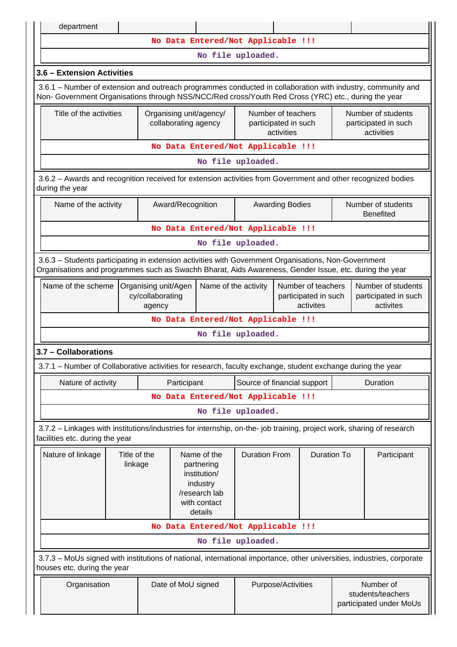| department                                                                                                                                                                                                             |                         |  |                                                 |                                                                                                   |                             |                        |  |                    |                                                          |                                        |
|------------------------------------------------------------------------------------------------------------------------------------------------------------------------------------------------------------------------|-------------------------|--|-------------------------------------------------|---------------------------------------------------------------------------------------------------|-----------------------------|------------------------|--|--------------------|----------------------------------------------------------|----------------------------------------|
| No Data Entered/Not Applicable !!!                                                                                                                                                                                     |                         |  |                                                 |                                                                                                   |                             |                        |  |                    |                                                          |                                        |
| No file uploaded.                                                                                                                                                                                                      |                         |  |                                                 |                                                                                                   |                             |                        |  |                    |                                                          |                                        |
| 3.6 - Extension Activities                                                                                                                                                                                             |                         |  |                                                 |                                                                                                   |                             |                        |  |                    |                                                          |                                        |
| 3.6.1 – Number of extension and outreach programmes conducted in collaboration with industry, community and<br>Non- Government Organisations through NSS/NCC/Red cross/Youth Red Cross (YRC) etc., during the year     |                         |  |                                                 |                                                                                                   |                             |                        |  |                    |                                                          |                                        |
| Title of the activities                                                                                                                                                                                                |                         |  | Organising unit/agency/<br>collaborating agency | Number of teachers<br>participated in such<br>activities                                          |                             |                        |  |                    | Number of students<br>participated in such<br>activities |                                        |
| No Data Entered/Not Applicable !!!                                                                                                                                                                                     |                         |  |                                                 |                                                                                                   |                             |                        |  |                    |                                                          |                                        |
|                                                                                                                                                                                                                        |                         |  |                                                 |                                                                                                   | No file uploaded.           |                        |  |                    |                                                          |                                        |
| 3.6.2 - Awards and recognition received for extension activities from Government and other recognized bodies<br>during the year                                                                                        |                         |  |                                                 |                                                                                                   |                             |                        |  |                    |                                                          |                                        |
| Name of the activity                                                                                                                                                                                                   |                         |  | Award/Recognition                               |                                                                                                   |                             | <b>Awarding Bodies</b> |  |                    |                                                          | Number of students<br><b>Benefited</b> |
|                                                                                                                                                                                                                        |                         |  |                                                 | No Data Entered/Not Applicable !!!                                                                |                             |                        |  |                    |                                                          |                                        |
|                                                                                                                                                                                                                        |                         |  |                                                 |                                                                                                   | No file uploaded.           |                        |  |                    |                                                          |                                        |
| 3.6.3 - Students participating in extension activities with Government Organisations, Non-Government<br>Organisations and programmes such as Swachh Bharat, Aids Awareness, Gender Issue, etc. during the year         |                         |  |                                                 |                                                                                                   |                             |                        |  |                    |                                                          |                                        |
| Name of the scheme<br>Name of the activity<br>Number of teachers<br>Number of students<br>Organising unit/Agen<br>cy/collaborating<br>participated in such<br>participated in such<br>activites<br>activites<br>agency |                         |  |                                                 |                                                                                                   |                             |                        |  |                    |                                                          |                                        |
|                                                                                                                                                                                                                        |                         |  |                                                 | No Data Entered/Not Applicable !!!                                                                |                             |                        |  |                    |                                                          |                                        |
|                                                                                                                                                                                                                        |                         |  |                                                 |                                                                                                   | No file uploaded.           |                        |  |                    |                                                          |                                        |
| 3.7 - Collaborations                                                                                                                                                                                                   |                         |  |                                                 |                                                                                                   |                             |                        |  |                    |                                                          |                                        |
| 3.7.1 - Number of Collaborative activities for research, faculty exchange, student exchange during the year                                                                                                            |                         |  |                                                 |                                                                                                   |                             |                        |  |                    |                                                          |                                        |
| Nature of activity                                                                                                                                                                                                     |                         |  | Participant                                     |                                                                                                   | Source of financial support |                        |  |                    |                                                          | Duration                               |
|                                                                                                                                                                                                                        |                         |  |                                                 | No Data Entered/Not Applicable !!!                                                                |                             |                        |  |                    |                                                          |                                        |
|                                                                                                                                                                                                                        |                         |  |                                                 |                                                                                                   | No file uploaded.           |                        |  |                    |                                                          |                                        |
| 3.7.2 - Linkages with institutions/industries for internship, on-the- job training, project work, sharing of research<br>facilities etc. during the year                                                               |                         |  |                                                 |                                                                                                   |                             |                        |  |                    |                                                          |                                        |
| Nature of linkage                                                                                                                                                                                                      | Title of the<br>linkage |  |                                                 | Name of the<br>partnering<br>institution/<br>industry<br>/research lab<br>with contact<br>details | <b>Duration From</b>        |                        |  | <b>Duration To</b> |                                                          | Participant                            |
|                                                                                                                                                                                                                        |                         |  |                                                 | No Data Entered/Not Applicable !!!                                                                |                             |                        |  |                    |                                                          |                                        |
|                                                                                                                                                                                                                        |                         |  |                                                 |                                                                                                   | No file uploaded.           |                        |  |                    |                                                          |                                        |
| 3.7.3 - MoUs signed with institutions of national, international importance, other universities, industries, corporate<br>houses etc. during the year                                                                  |                         |  |                                                 |                                                                                                   |                             |                        |  |                    |                                                          |                                        |
| Number of<br>Organisation<br>Date of MoU signed<br>Purpose/Activities<br>students/teachers                                                                                                                             |                         |  |                                                 |                                                                                                   |                             |                        |  |                    |                                                          |                                        |

participated under MoUs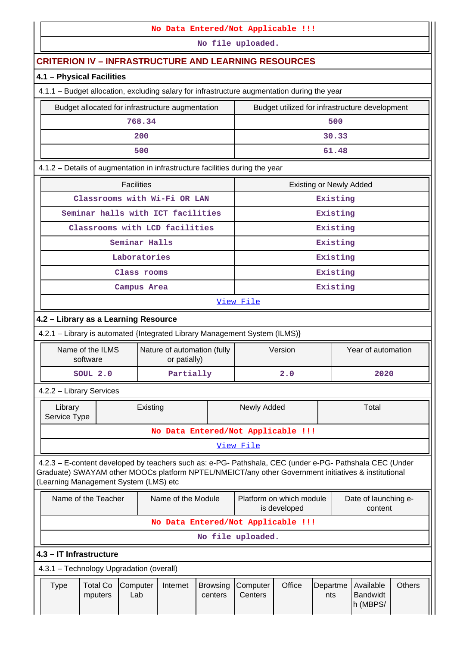|                                                                                             |                                                                                                                                                                                                                                                         |          |                                             |                            | No Data Entered/Not Applicable !!!       |         |                                 |                                                |               |
|---------------------------------------------------------------------------------------------|---------------------------------------------------------------------------------------------------------------------------------------------------------------------------------------------------------------------------------------------------------|----------|---------------------------------------------|----------------------------|------------------------------------------|---------|---------------------------------|------------------------------------------------|---------------|
|                                                                                             |                                                                                                                                                                                                                                                         |          |                                             |                            | No file uploaded.                        |         |                                 |                                                |               |
| <b>CRITERION IV - INFRASTRUCTURE AND LEARNING RESOURCES</b>                                 |                                                                                                                                                                                                                                                         |          |                                             |                            |                                          |         |                                 |                                                |               |
| 4.1 - Physical Facilities                                                                   |                                                                                                                                                                                                                                                         |          |                                             |                            |                                          |         |                                 |                                                |               |
| 4.1.1 - Budget allocation, excluding salary for infrastructure augmentation during the year |                                                                                                                                                                                                                                                         |          |                                             |                            |                                          |         |                                 |                                                |               |
|                                                                                             | Budget allocated for infrastructure augmentation                                                                                                                                                                                                        |          |                                             |                            |                                          |         |                                 | Budget utilized for infrastructure development |               |
|                                                                                             |                                                                                                                                                                                                                                                         | 768.34   |                                             |                            |                                          |         | 500                             |                                                |               |
| 200                                                                                         |                                                                                                                                                                                                                                                         |          |                                             |                            |                                          |         | 30.33                           |                                                |               |
|                                                                                             |                                                                                                                                                                                                                                                         | 500      |                                             |                            |                                          |         | 61.48                           |                                                |               |
| 4.1.2 - Details of augmentation in infrastructure facilities during the year                |                                                                                                                                                                                                                                                         |          |                                             |                            |                                          |         |                                 |                                                |               |
| <b>Facilities</b><br><b>Existing or Newly Added</b>                                         |                                                                                                                                                                                                                                                         |          |                                             |                            |                                          |         |                                 |                                                |               |
|                                                                                             |                                                                                                                                                                                                                                                         |          | Classrooms with Wi-Fi OR LAN                |                            |                                          |         | Existing                        |                                                |               |
| Seminar halls with ICT facilities                                                           |                                                                                                                                                                                                                                                         |          |                                             |                            |                                          |         | Existing                        |                                                |               |
| Classrooms with LCD facilities                                                              |                                                                                                                                                                                                                                                         |          |                                             |                            |                                          |         | Existing                        |                                                |               |
|                                                                                             | Seminar Halls                                                                                                                                                                                                                                           |          |                                             |                            |                                          |         | Existing                        |                                                |               |
| Laboratories                                                                                |                                                                                                                                                                                                                                                         |          |                                             |                            |                                          |         | Existing                        |                                                |               |
| Class rooms                                                                                 |                                                                                                                                                                                                                                                         |          |                                             | Existing                   |                                          |         |                                 |                                                |               |
| Campus Area                                                                                 |                                                                                                                                                                                                                                                         |          |                                             | Existing                   |                                          |         |                                 |                                                |               |
|                                                                                             | View File                                                                                                                                                                                                                                               |          |                                             |                            |                                          |         |                                 |                                                |               |
| 4.2 - Library as a Learning Resource                                                        |                                                                                                                                                                                                                                                         |          |                                             |                            |                                          |         |                                 |                                                |               |
| 4.2.1 - Library is automated {Integrated Library Management System (ILMS)}                  |                                                                                                                                                                                                                                                         |          |                                             |                            |                                          |         |                                 |                                                |               |
| Name of the ILMS<br>software                                                                |                                                                                                                                                                                                                                                         |          | Nature of automation (fully<br>or patially) |                            |                                          | Version |                                 | Year of automation                             |               |
| SOUL 2.0                                                                                    |                                                                                                                                                                                                                                                         |          | Partially                                   |                            |                                          | 2.0     |                                 | 2020                                           |               |
| 4.2.2 - Library Services                                                                    |                                                                                                                                                                                                                                                         |          |                                             |                            |                                          |         |                                 |                                                |               |
| Library<br>Service Type                                                                     |                                                                                                                                                                                                                                                         | Existing |                                             |                            | Newly Added                              |         |                                 | Total                                          |               |
|                                                                                             |                                                                                                                                                                                                                                                         |          |                                             |                            | No Data Entered/Not Applicable !!!       |         |                                 |                                                |               |
|                                                                                             |                                                                                                                                                                                                                                                         |          |                                             |                            | View File                                |         |                                 |                                                |               |
|                                                                                             | 4.2.3 - E-content developed by teachers such as: e-PG- Pathshala, CEC (under e-PG- Pathshala CEC (Under<br>Graduate) SWAYAM other MOOCs platform NPTEL/NMEICT/any other Government initiatives & institutional<br>(Learning Management System (LMS) etc |          |                                             |                            |                                          |         |                                 |                                                |               |
| Name of the Teacher<br>Name of the Module                                                   |                                                                                                                                                                                                                                                         |          |                                             |                            | Platform on which module<br>is developed |         | Date of launching e-<br>content |                                                |               |
|                                                                                             | No Data Entered/Not Applicable !!!                                                                                                                                                                                                                      |          |                                             |                            |                                          |         |                                 |                                                |               |
|                                                                                             |                                                                                                                                                                                                                                                         |          |                                             |                            | No file uploaded.                        |         |                                 |                                                |               |
| 4.3 - IT Infrastructure                                                                     |                                                                                                                                                                                                                                                         |          |                                             |                            |                                          |         |                                 |                                                |               |
| 4.3.1 - Technology Upgradation (overall)                                                    |                                                                                                                                                                                                                                                         |          |                                             |                            |                                          |         |                                 |                                                |               |
| <b>Total Co</b><br><b>Type</b><br>mputers                                                   | Computer<br>Lab                                                                                                                                                                                                                                         |          | Internet                                    | <b>Browsing</b><br>centers | Computer<br>Centers                      | Office  | Departme<br>nts                 | Available<br><b>Bandwidt</b><br>h (MBPS/       | <b>Others</b> |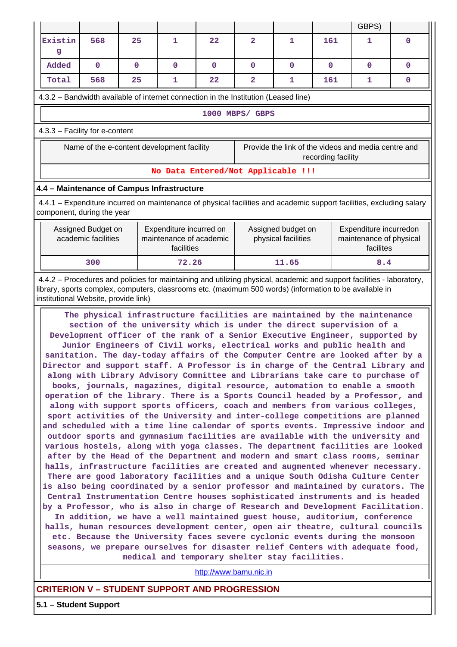|                                                                                                                                                                                                                                                                                                                                                                                                                                                                                                                                                                                                                                                                                                                                                                                                                                                                                                                                                                                                                                                                                                                                                                                                                                                                                                                                                                                                                                                                                                                                                                                                                                                                                                                                                                                                                                                                                                                                                                                                                                                                                                                                                                                                 |                                                                                                                                                    |              |                                                                  |                        |                |                                           |              | GBPS)                                                          |              |  |  |
|-------------------------------------------------------------------------------------------------------------------------------------------------------------------------------------------------------------------------------------------------------------------------------------------------------------------------------------------------------------------------------------------------------------------------------------------------------------------------------------------------------------------------------------------------------------------------------------------------------------------------------------------------------------------------------------------------------------------------------------------------------------------------------------------------------------------------------------------------------------------------------------------------------------------------------------------------------------------------------------------------------------------------------------------------------------------------------------------------------------------------------------------------------------------------------------------------------------------------------------------------------------------------------------------------------------------------------------------------------------------------------------------------------------------------------------------------------------------------------------------------------------------------------------------------------------------------------------------------------------------------------------------------------------------------------------------------------------------------------------------------------------------------------------------------------------------------------------------------------------------------------------------------------------------------------------------------------------------------------------------------------------------------------------------------------------------------------------------------------------------------------------------------------------------------------------------------|----------------------------------------------------------------------------------------------------------------------------------------------------|--------------|------------------------------------------------------------------|------------------------|----------------|-------------------------------------------|--------------|----------------------------------------------------------------|--------------|--|--|
| Existin<br>g                                                                                                                                                                                                                                                                                                                                                                                                                                                                                                                                                                                                                                                                                                                                                                                                                                                                                                                                                                                                                                                                                                                                                                                                                                                                                                                                                                                                                                                                                                                                                                                                                                                                                                                                                                                                                                                                                                                                                                                                                                                                                                                                                                                    | 568                                                                                                                                                | 25           | 1                                                                | 22                     | $\overline{2}$ | 1                                         | 161          | 1                                                              | $\mathbf{0}$ |  |  |
| Added                                                                                                                                                                                                                                                                                                                                                                                                                                                                                                                                                                                                                                                                                                                                                                                                                                                                                                                                                                                                                                                                                                                                                                                                                                                                                                                                                                                                                                                                                                                                                                                                                                                                                                                                                                                                                                                                                                                                                                                                                                                                                                                                                                                           | $\mathbf 0$                                                                                                                                        | $\mathbf{0}$ | $\mathbf{0}$                                                     | $\mathbf{0}$           | $\mathbf 0$    | $\mathbf{0}$                              | $\mathbf{0}$ | $\mathbf{0}$                                                   | $\mathbf{0}$ |  |  |
| Total                                                                                                                                                                                                                                                                                                                                                                                                                                                                                                                                                                                                                                                                                                                                                                                                                                                                                                                                                                                                                                                                                                                                                                                                                                                                                                                                                                                                                                                                                                                                                                                                                                                                                                                                                                                                                                                                                                                                                                                                                                                                                                                                                                                           | 568                                                                                                                                                | 25           | 1                                                                | 22                     | $\overline{2}$ | 1                                         | 161          | 1                                                              | $\mathbf{0}$ |  |  |
|                                                                                                                                                                                                                                                                                                                                                                                                                                                                                                                                                                                                                                                                                                                                                                                                                                                                                                                                                                                                                                                                                                                                                                                                                                                                                                                                                                                                                                                                                                                                                                                                                                                                                                                                                                                                                                                                                                                                                                                                                                                                                                                                                                                                 | 4.3.2 - Bandwidth available of internet connection in the Institution (Leased line)                                                                |              |                                                                  |                        |                |                                           |              |                                                                |              |  |  |
|                                                                                                                                                                                                                                                                                                                                                                                                                                                                                                                                                                                                                                                                                                                                                                                                                                                                                                                                                                                                                                                                                                                                                                                                                                                                                                                                                                                                                                                                                                                                                                                                                                                                                                                                                                                                                                                                                                                                                                                                                                                                                                                                                                                                 | 1000 MBPS/ GBPS                                                                                                                                    |              |                                                                  |                        |                |                                           |              |                                                                |              |  |  |
|                                                                                                                                                                                                                                                                                                                                                                                                                                                                                                                                                                                                                                                                                                                                                                                                                                                                                                                                                                                                                                                                                                                                                                                                                                                                                                                                                                                                                                                                                                                                                                                                                                                                                                                                                                                                                                                                                                                                                                                                                                                                                                                                                                                                 | 4.3.3 - Facility for e-content                                                                                                                     |              |                                                                  |                        |                |                                           |              |                                                                |              |  |  |
| Name of the e-content development facility<br>Provide the link of the videos and media centre and<br>recording facility                                                                                                                                                                                                                                                                                                                                                                                                                                                                                                                                                                                                                                                                                                                                                                                                                                                                                                                                                                                                                                                                                                                                                                                                                                                                                                                                                                                                                                                                                                                                                                                                                                                                                                                                                                                                                                                                                                                                                                                                                                                                         |                                                                                                                                                    |              |                                                                  |                        |                |                                           |              |                                                                |              |  |  |
|                                                                                                                                                                                                                                                                                                                                                                                                                                                                                                                                                                                                                                                                                                                                                                                                                                                                                                                                                                                                                                                                                                                                                                                                                                                                                                                                                                                                                                                                                                                                                                                                                                                                                                                                                                                                                                                                                                                                                                                                                                                                                                                                                                                                 |                                                                                                                                                    |              | No Data Entered/Not Applicable !!!                               |                        |                |                                           |              |                                                                |              |  |  |
|                                                                                                                                                                                                                                                                                                                                                                                                                                                                                                                                                                                                                                                                                                                                                                                                                                                                                                                                                                                                                                                                                                                                                                                                                                                                                                                                                                                                                                                                                                                                                                                                                                                                                                                                                                                                                                                                                                                                                                                                                                                                                                                                                                                                 | 4.4 - Maintenance of Campus Infrastructure                                                                                                         |              |                                                                  |                        |                |                                           |              |                                                                |              |  |  |
|                                                                                                                                                                                                                                                                                                                                                                                                                                                                                                                                                                                                                                                                                                                                                                                                                                                                                                                                                                                                                                                                                                                                                                                                                                                                                                                                                                                                                                                                                                                                                                                                                                                                                                                                                                                                                                                                                                                                                                                                                                                                                                                                                                                                 | 4.4.1 – Expenditure incurred on maintenance of physical facilities and academic support facilities, excluding salary<br>component, during the year |              |                                                                  |                        |                |                                           |              |                                                                |              |  |  |
|                                                                                                                                                                                                                                                                                                                                                                                                                                                                                                                                                                                                                                                                                                                                                                                                                                                                                                                                                                                                                                                                                                                                                                                                                                                                                                                                                                                                                                                                                                                                                                                                                                                                                                                                                                                                                                                                                                                                                                                                                                                                                                                                                                                                 | Assigned Budget on<br>academic facilities                                                                                                          |              | Expenditure incurred on<br>maintenance of academic<br>facilities |                        |                | Assigned budget on<br>physical facilities |              | Expenditure incurredon<br>maintenance of physical<br>facilites |              |  |  |
|                                                                                                                                                                                                                                                                                                                                                                                                                                                                                                                                                                                                                                                                                                                                                                                                                                                                                                                                                                                                                                                                                                                                                                                                                                                                                                                                                                                                                                                                                                                                                                                                                                                                                                                                                                                                                                                                                                                                                                                                                                                                                                                                                                                                 | 300                                                                                                                                                |              | 72.26                                                            |                        |                | 11.65                                     | 8.4          |                                                                |              |  |  |
| 4.4.2 – Procedures and policies for maintaining and utilizing physical, academic and support facilities - laboratory,<br>library, sports complex, computers, classrooms etc. (maximum 500 words) (information to be available in<br>institutional Website, provide link)<br>The physical infrastructure facilities are maintained by the maintenance<br>section of the university which is under the direct supervision of a<br>Development officer of the rank of a Senior Executive Engineer, supported by<br>Junior Engineers of Civil works, electrical works and public health and<br>sanitation. The day-today affairs of the Computer Centre are looked after by a<br>Director and support staff. A Professor is in charge of the Central Library and<br>along with Library Advisory Committee and Librarians take care to purchase of<br>books, journals, magazines, digital resource, automation to enable a smooth<br>operation of the library. There is a Sports Council headed by a Professor, and<br>along with support sports officers, coach and members from various colleges,<br>sport activities of the University and inter-college competitions are planned<br>and scheduled with a time line calendar of sports events. Impressive indoor and<br>outdoor sports and gymnasium facilities are available with the university and<br>various hostels, along with yoga classes. The department facilities are looked<br>after by the Head of the Department and modern and smart class rooms, seminar<br>halls, infrastructure facilities are created and augmented whenever necessary.<br>There are good laboratory facilities and a unique South Odisha Culture Center<br>is also being coordinated by a senior professor and maintained by curators. The<br>Central Instrumentation Centre houses sophisticated instruments and is headed<br>by a Professor, who is also in charge of Research and Development Facilitation.<br>In addition, we have a well maintained guest house, auditorium, conference<br>halls, human resources development center, open air theatre, cultural councils<br>etc. Because the University faces severe cyclonic events during the monsoon |                                                                                                                                                    |              |                                                                  |                        |                |                                           |              |                                                                |              |  |  |
|                                                                                                                                                                                                                                                                                                                                                                                                                                                                                                                                                                                                                                                                                                                                                                                                                                                                                                                                                                                                                                                                                                                                                                                                                                                                                                                                                                                                                                                                                                                                                                                                                                                                                                                                                                                                                                                                                                                                                                                                                                                                                                                                                                                                 |                                                                                                                                                    |              | medical and temporary shelter stay facilities.                   | http://www.bamu.nic.in |                |                                           |              |                                                                |              |  |  |

## **CRITERION V – STUDENT SUPPORT AND PROGRESSION**

**5.1 – Student Support**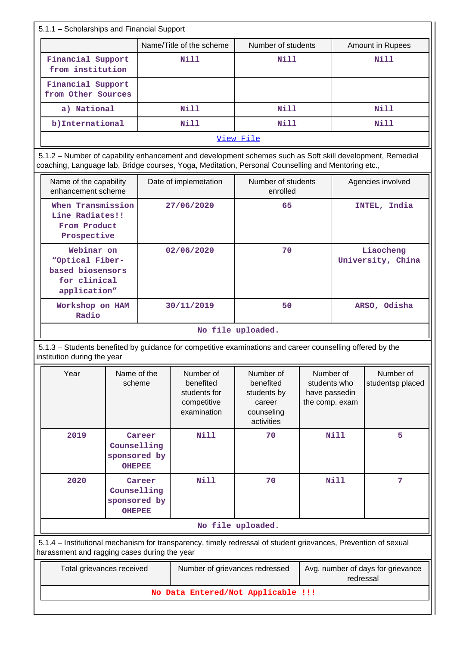| 5.1.1 - Scholarships and Financial Support                                                                                                                                                                      |                                                        |                                                                      |                                                                             |                                                              |              |                                |
|-----------------------------------------------------------------------------------------------------------------------------------------------------------------------------------------------------------------|--------------------------------------------------------|----------------------------------------------------------------------|-----------------------------------------------------------------------------|--------------------------------------------------------------|--------------|--------------------------------|
|                                                                                                                                                                                                                 |                                                        | Name/Title of the scheme                                             | Number of students                                                          |                                                              |              | Amount in Rupees               |
| Financial Support<br>from institution                                                                                                                                                                           |                                                        | Nill                                                                 | Nill                                                                        |                                                              |              | Nill                           |
| Financial Support<br>from Other Sources                                                                                                                                                                         |                                                        |                                                                      |                                                                             |                                                              |              |                                |
| a) National                                                                                                                                                                                                     |                                                        | Nill                                                                 | N <sub>i</sub> 11                                                           |                                                              |              | N <sub>i</sub> 11              |
| b) International                                                                                                                                                                                                |                                                        | Nill                                                                 | Nill                                                                        |                                                              |              | Nill                           |
|                                                                                                                                                                                                                 |                                                        |                                                                      | View File                                                                   |                                                              |              |                                |
| 5.1.2 - Number of capability enhancement and development schemes such as Soft skill development, Remedial<br>coaching, Language lab, Bridge courses, Yoga, Meditation, Personal Counselling and Mentoring etc., |                                                        |                                                                      |                                                                             |                                                              |              |                                |
| Name of the capability<br>enhancement scheme                                                                                                                                                                    |                                                        | Date of implemetation                                                | Number of students<br>enrolled                                              |                                                              |              | Agencies involved              |
| When Transmission<br>Line Radiates!!<br>From Product<br>Prospective                                                                                                                                             |                                                        | 27/06/2020                                                           | 65                                                                          |                                                              | INTEL, India |                                |
| Webinar on<br>"Optical Fiber-<br>based biosensors<br>for clinical<br>application"                                                                                                                               |                                                        | 02/06/2020                                                           | 70                                                                          |                                                              |              | Liaocheng<br>University, China |
| Workshop on HAM<br>Radio                                                                                                                                                                                        |                                                        | 30/11/2019                                                           | 50                                                                          |                                                              | ARSO, Odisha |                                |
|                                                                                                                                                                                                                 |                                                        | No file uploaded.                                                    |                                                                             |                                                              |              |                                |
| 5.1.3 – Students benefited by guidance for competitive examinations and career counselling offered by the<br>institution during the year                                                                        |                                                        |                                                                      |                                                                             |                                                              |              |                                |
| Year                                                                                                                                                                                                            | Name of the<br>scheme                                  | Number of<br>benefited<br>students for<br>competitive<br>examination | Number of<br>benefited<br>students by<br>career<br>counseling<br>activities | Number of<br>students who<br>have passedin<br>the comp. exam |              | Number of<br>studentsp placed  |
| 2019                                                                                                                                                                                                            | Career<br>Counselling<br>sponsored by<br><b>OHEPEE</b> | <b>Nill</b>                                                          | 70                                                                          |                                                              | <b>Nill</b>  | 5                              |
| 2020                                                                                                                                                                                                            | Career<br>Counselling<br>sponsored by<br><b>OHEPEE</b> | <b>Nill</b>                                                          | 70                                                                          | <b>Nill</b>                                                  |              | 7                              |
|                                                                                                                                                                                                                 |                                                        |                                                                      | No file uploaded.                                                           |                                                              |              |                                |
| 5.1.4 – Institutional mechanism for transparency, timely redressal of student grievances, Prevention of sexual<br>harassment and ragging cases during the year                                                  |                                                        |                                                                      |                                                                             |                                                              |              |                                |
| Total grievances received                                                                                                                                                                                       |                                                        | Number of grievances redressed                                       |                                                                             | Avg. number of days for grievance<br>redressal               |              |                                |
|                                                                                                                                                                                                                 |                                                        | No Data Entered/Not Applicable !!!                                   |                                                                             |                                                              |              |                                |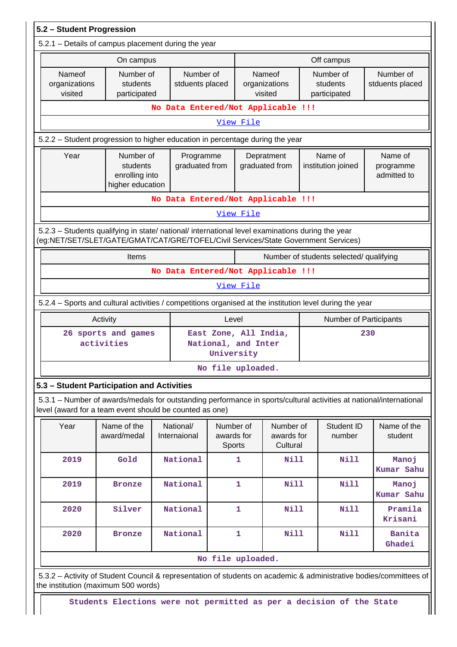| 5.2 - Student Progression                                                                                                                                                              |                                                                      |                                    |                                                            |                                   |                                     |                                         |     |                                     |
|----------------------------------------------------------------------------------------------------------------------------------------------------------------------------------------|----------------------------------------------------------------------|------------------------------------|------------------------------------------------------------|-----------------------------------|-------------------------------------|-----------------------------------------|-----|-------------------------------------|
| 5.2.1 - Details of campus placement during the year                                                                                                                                    |                                                                      |                                    |                                                            |                                   |                                     |                                         |     |                                     |
|                                                                                                                                                                                        | On campus                                                            |                                    |                                                            |                                   |                                     | Off campus                              |     |                                     |
| Nameof<br>organizations<br>visited                                                                                                                                                     | Number of<br>students<br>participated                                | stduents placed                    | Number of                                                  |                                   | Nameof<br>organizations<br>visited  | Number of<br>students<br>participated   |     | Number of<br>stduents placed        |
|                                                                                                                                                                                        |                                                                      | No Data Entered/Not Applicable !!! |                                                            |                                   |                                     |                                         |     |                                     |
| View File                                                                                                                                                                              |                                                                      |                                    |                                                            |                                   |                                     |                                         |     |                                     |
| 5.2.2 - Student progression to higher education in percentage during the year                                                                                                          |                                                                      |                                    |                                                            |                                   |                                     |                                         |     |                                     |
| Year                                                                                                                                                                                   | Number of<br>students<br>enrolling into<br>higher education          | Programme<br>graduated from        |                                                            |                                   | Depratment<br>graduated from        | Name of<br>institution joined           |     | Name of<br>programme<br>admitted to |
|                                                                                                                                                                                        |                                                                      | No Data Entered/Not Applicable !!! |                                                            |                                   |                                     |                                         |     |                                     |
|                                                                                                                                                                                        |                                                                      |                                    |                                                            | View File                         |                                     |                                         |     |                                     |
| 5.2.3 - Students qualifying in state/ national/ international level examinations during the year<br>(eg:NET/SET/SLET/GATE/GMAT/CAT/GRE/TOFEL/Civil Services/State Government Services) |                                                                      |                                    |                                                            |                                   |                                     |                                         |     |                                     |
|                                                                                                                                                                                        | Items                                                                |                                    |                                                            |                                   |                                     | Number of students selected/ qualifying |     |                                     |
|                                                                                                                                                                                        | No Data Entered/Not Applicable !!!                                   |                                    |                                                            |                                   |                                     |                                         |     |                                     |
| View File                                                                                                                                                                              |                                                                      |                                    |                                                            |                                   |                                     |                                         |     |                                     |
| 5.2.4 - Sports and cultural activities / competitions organised at the institution level during the year                                                                               |                                                                      |                                    |                                                            |                                   |                                     |                                         |     |                                     |
|                                                                                                                                                                                        | Activity<br>Level<br>Number of Participants                          |                                    |                                                            |                                   |                                     |                                         |     |                                     |
|                                                                                                                                                                                        | 26 sports and games<br>activities                                    |                                    | East Zone, All India,<br>National, and Inter<br>University |                                   |                                     |                                         | 230 |                                     |
|                                                                                                                                                                                        |                                                                      |                                    | No file uploaded.                                          |                                   |                                     |                                         |     |                                     |
| 5.3 - Student Participation and Activities                                                                                                                                             |                                                                      |                                    |                                                            |                                   |                                     |                                         |     |                                     |
| 5.3.1 – Number of awards/medals for outstanding performance in sports/cultural activities at national/international<br>level (award for a team event should be counted as one)         |                                                                      |                                    |                                                            |                                   |                                     |                                         |     |                                     |
| Year                                                                                                                                                                                   | Name of the<br>award/medal                                           | National/<br>Internaional          |                                                            | Number of<br>awards for<br>Sports | Number of<br>awards for<br>Cultural | Student ID<br>number                    |     | Name of the<br>student              |
| 2019                                                                                                                                                                                   | Gold                                                                 | National                           |                                                            | 1                                 | <b>Nill</b>                         | Nill                                    |     | Manoj<br>Kumar Sahu                 |
| 2019                                                                                                                                                                                   | <b>Bronze</b>                                                        | National                           |                                                            | 1                                 | Nill                                | Nill                                    |     | Manoj<br>Kumar Sahu                 |
| 2020                                                                                                                                                                                   | Silver                                                               | National                           |                                                            | 1                                 | <b>Nill</b>                         | <b>Nill</b>                             |     | Pramila<br>Krisani                  |
| 2020                                                                                                                                                                                   | <b>Bronze</b>                                                        | National                           |                                                            | 1                                 | <b>Nill</b>                         | <b>Nill</b>                             |     | Banita<br>Ghadei                    |
|                                                                                                                                                                                        |                                                                      |                                    | No file uploaded.                                          |                                   |                                     |                                         |     |                                     |
| 5.3.2 - Activity of Student Council & representation of students on academic & administrative bodies/committees of<br>the institution (maximum 500 words)                              |                                                                      |                                    |                                                            |                                   |                                     |                                         |     |                                     |
|                                                                                                                                                                                        | Students Elections were not permitted as per a decision of the State |                                    |                                                            |                                   |                                     |                                         |     |                                     |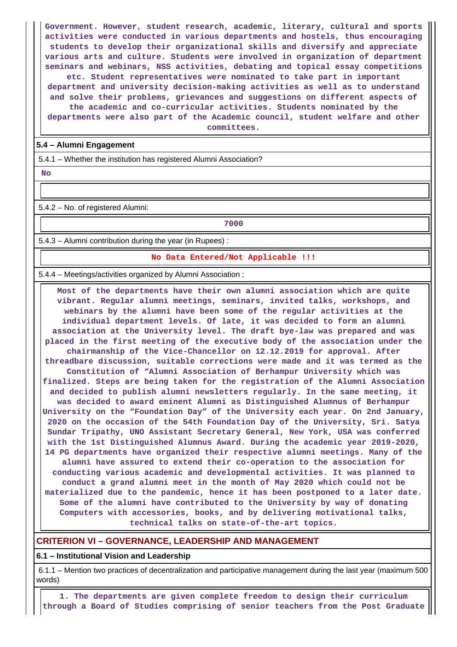**Government. However, student research, academic, literary, cultural and sports activities were conducted in various departments and hostels, thus encouraging students to develop their organizational skills and diversify and appreciate various arts and culture. Students were involved in organization of department seminars and webinars, NSS activities, debating and topical essay competitions etc. Student representatives were nominated to take part in important department and university decision-making activities as well as to understand and solve their problems, grievances and suggestions on different aspects of the academic and co-curricular activities. Students nominated by the departments were also part of the Academic council, student welfare and other**

**committees.**

#### **5.4 – Alumni Engagement**

5.4.1 – Whether the institution has registered Alumni Association?

 **No**

5.4.2 – No. of registered Alumni:

**7000**

5.4.3 – Alumni contribution during the year (in Rupees) :

#### **No Data Entered/Not Applicable !!!**

5.4.4 – Meetings/activities organized by Alumni Association :

 **Most of the departments have their own alumni association which are quite vibrant. Regular alumni meetings, seminars, invited talks, workshops, and webinars by the alumni have been some of the regular activities at the individual department levels. Of late, it was decided to form an alumni association at the University level. The draft bye-law was prepared and was placed in the first meeting of the executive body of the association under the chairmanship of the Vice-Chancellor on 12.12.2019 for approval. After threadbare discussion, suitable corrections were made and it was termed as the Constitution of "Alumni Association of Berhampur University which was finalized. Steps are being taken for the registration of the Alumni Association and decided to publish alumni newsletters regularly. In the same meeting, it was decided to award eminent Alumni as Distinguished Alumnus of Berhampur University on the "Foundation Day" of the University each year. On 2nd January, 2020 on the occasion of the 54th Foundation Day of the University, Sri. Satya Sundar Tripathy, UNO Assistant Secretary General, New York, USA was conferred with the 1st Distinguished Alumnus Award. During the academic year 2019-2020, 14 PG departments have organized their respective alumni meetings. Many of the alumni have assured to extend their co-operation to the association for conducting various academic and developmental activities. It was planned to conduct a grand alumni meet in the month of May 2020 which could not be materialized due to the pandemic, hence it has been postponed to a later date. Some of the alumni have contributed to the University by way of donating Computers with accessories, books, and by delivering motivational talks, technical talks on state-of-the-art topics.**

## **CRITERION VI – GOVERNANCE, LEADERSHIP AND MANAGEMENT**

**6.1 – Institutional Vision and Leadership**

 6.1.1 – Mention two practices of decentralization and participative management during the last year (maximum 500 words)

 **1. The departments are given complete freedom to design their curriculum through a Board of Studies comprising of senior teachers from the Post Graduate**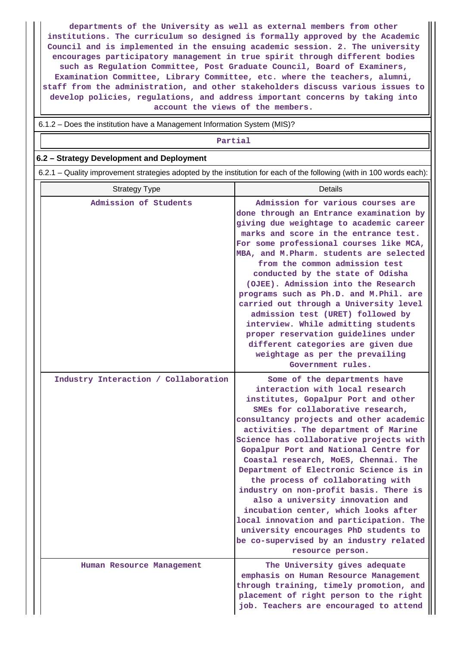**departments of the University as well as external members from other institutions. The curriculum so designed is formally approved by the Academic Council and is implemented in the ensuing academic session. 2. The university encourages participatory management in true spirit through different bodies such as Regulation Committee, Post Graduate Council, Board of Examiners, Examination Committee, Library Committee, etc. where the teachers, alumni, staff from the administration, and other stakeholders discuss various issues to develop policies, regulations, and address important concerns by taking into account the views of the members.**

6.1.2 – Does the institution have a Management Information System (MIS)?

#### **Partial**

## **6.2 – Strategy Development and Deployment**

6.2.1 – Quality improvement strategies adopted by the institution for each of the following (with in 100 words each):

| <b>Strategy Type</b>                 | <b>Details</b>                                                                                                                                                                                                                                                                                                                                                                                                                                                                                                                                                                                                                                                                                                    |
|--------------------------------------|-------------------------------------------------------------------------------------------------------------------------------------------------------------------------------------------------------------------------------------------------------------------------------------------------------------------------------------------------------------------------------------------------------------------------------------------------------------------------------------------------------------------------------------------------------------------------------------------------------------------------------------------------------------------------------------------------------------------|
| Admission of Students                | Admission for various courses are<br>done through an Entrance examination by<br>giving due weightage to academic career<br>marks and score in the entrance test.<br>For some professional courses like MCA,<br>MBA, and M. Pharm. students are selected<br>from the common admission test<br>conducted by the state of Odisha<br>(OJEE). Admission into the Research<br>programs such as Ph.D. and M. Phil. are<br>carried out through a University level<br>admission test (URET) followed by<br>interview. While admitting students<br>proper reservation guidelines under<br>different categories are given due<br>weightage as per the prevailing<br>Government rules.                                        |
| Industry Interaction / Collaboration | Some of the departments have<br>interaction with local research<br>institutes, Gopalpur Port and other<br>SMEs for collaborative research,<br>consultancy projects and other academic<br>activities. The department of Marine<br>Science has collaborative projects with<br>Gopalpur Port and National Centre for<br>Coastal research, MoES, Chennai. The<br>Department of Electronic Science is in<br>the process of collaborating with<br>industry on non-profit basis. There is<br>also a university innovation and<br>incubation center, which looks after<br>local innovation and participation. The<br>university encourages PhD students to<br>be co-supervised by an industry related<br>resource person. |
| Human Resource Management            | The University gives adequate<br>emphasis on Human Resource Management<br>through training, timely promotion, and<br>placement of right person to the right<br>job. Teachers are encouraged to attend                                                                                                                                                                                                                                                                                                                                                                                                                                                                                                             |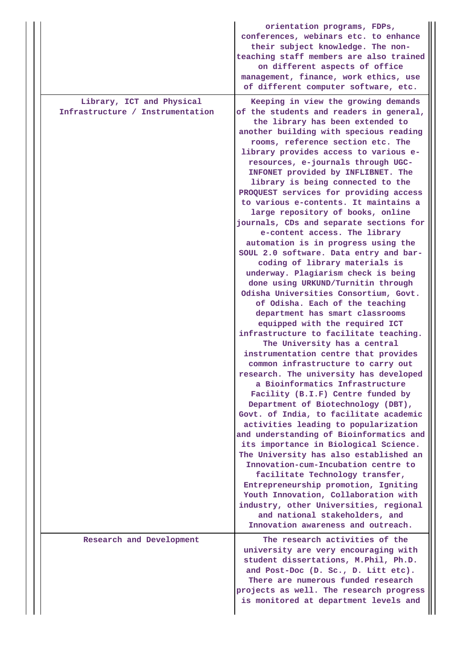|                                                               | orientation programs, FDPs,<br>conferences, webinars etc. to enhance<br>their subject knowledge. The non-<br>teaching staff members are also trained<br>on different aspects of office<br>management, finance, work ethics, use<br>of different computer software, etc.                                                                                                                                                                                                                                                                                                                                                                                                                                                                                                                                                                                                                                                                                                                                                                                                                                                                                                                                                                                                                                                                                                                                                                                                                                                                                                                                                                                                                |
|---------------------------------------------------------------|----------------------------------------------------------------------------------------------------------------------------------------------------------------------------------------------------------------------------------------------------------------------------------------------------------------------------------------------------------------------------------------------------------------------------------------------------------------------------------------------------------------------------------------------------------------------------------------------------------------------------------------------------------------------------------------------------------------------------------------------------------------------------------------------------------------------------------------------------------------------------------------------------------------------------------------------------------------------------------------------------------------------------------------------------------------------------------------------------------------------------------------------------------------------------------------------------------------------------------------------------------------------------------------------------------------------------------------------------------------------------------------------------------------------------------------------------------------------------------------------------------------------------------------------------------------------------------------------------------------------------------------------------------------------------------------|
| Library, ICT and Physical<br>Infrastructure / Instrumentation | Keeping in view the growing demands<br>of the students and readers in general,<br>the library has been extended to<br>another building with specious reading<br>rooms, reference section etc. The<br>library provides access to various e-<br>resources, e-journals through UGC-<br>INFONET provided by INFLIBNET. The<br>library is being connected to the<br>PROQUEST services for providing access<br>to various e-contents. It maintains a<br>large repository of books, online<br>journals, CDs and separate sections for<br>e-content access. The library<br>automation is in progress using the<br>SOUL 2.0 software. Data entry and bar-<br>coding of library materials is<br>underway. Plagiarism check is being<br>done using URKUND/Turnitin through<br>Odisha Universities Consortium, Govt.<br>of Odisha. Each of the teaching<br>department has smart classrooms<br>equipped with the required ICT<br>infrastructure to facilitate teaching.<br>The University has a central<br>instrumentation centre that provides<br>common infrastructure to carry out<br>research. The university has developed<br>a Bioinformatics Infrastructure<br>Facility (B.I.F) Centre funded by<br>Department of Biotechnology (DBT),<br>Govt. of India, to facilitate academic<br>activities leading to popularization<br>and understanding of Bioinformatics and<br>its importance in Biological Science.<br>The University has also established an<br>Innovation-cum-Incubation centre to<br>facilitate Technology transfer,<br>Entrepreneurship promotion, Igniting<br>Youth Innovation, Collaboration with<br>industry, other Universities, regional<br>and national stakeholders, and |
| Research and Development                                      | Innovation awareness and outreach.<br>The research activities of the<br>university are very encouraging with<br>student dissertations, M.Phil, Ph.D.                                                                                                                                                                                                                                                                                                                                                                                                                                                                                                                                                                                                                                                                                                                                                                                                                                                                                                                                                                                                                                                                                                                                                                                                                                                                                                                                                                                                                                                                                                                                   |
|                                                               | and Post-Doc (D. Sc., D. Litt etc).<br>There are numerous funded research<br>projects as well. The research progress<br>is monitored at department levels and                                                                                                                                                                                                                                                                                                                                                                                                                                                                                                                                                                                                                                                                                                                                                                                                                                                                                                                                                                                                                                                                                                                                                                                                                                                                                                                                                                                                                                                                                                                          |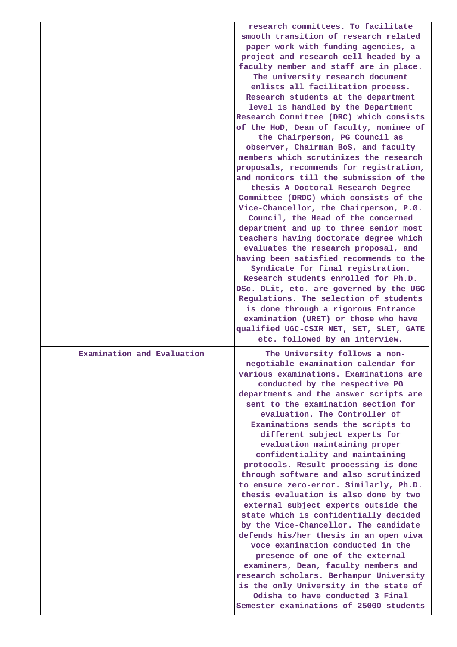|                            | research committees. To facilitate<br>smooth transition of research related<br>paper work with funding agencies, a<br>project and research cell headed by a<br>faculty member and staff are in place.<br>The university research document<br>enlists all facilitation process.<br>Research students at the department<br>level is handled by the Department<br>Research Committee (DRC) which consists<br>of the HoD, Dean of faculty, nominee of<br>the Chairperson, PG Council as<br>observer, Chairman BoS, and faculty<br>members which scrutinizes the research<br>proposals, recommends for registration,<br>and monitors till the submission of the<br>thesis A Doctoral Research Degree<br>Committee (DRDC) which consists of the<br>Vice-Chancellor, the Chairperson, P.G.<br>Council, the Head of the concerned<br>department and up to three senior most<br>teachers having doctorate degree which<br>evaluates the research proposal, and<br>having been satisfied recommends to the<br>Syndicate for final registration.<br>Research students enrolled for Ph.D.<br>DSc. DLit, etc. are governed by the UGC<br>Regulations. The selection of students<br>is done through a rigorous Entrance<br>examination (URET) or those who have<br>qualified UGC-CSIR NET, SET, SLET, GATE<br>etc. followed by an interview. |
|----------------------------|--------------------------------------------------------------------------------------------------------------------------------------------------------------------------------------------------------------------------------------------------------------------------------------------------------------------------------------------------------------------------------------------------------------------------------------------------------------------------------------------------------------------------------------------------------------------------------------------------------------------------------------------------------------------------------------------------------------------------------------------------------------------------------------------------------------------------------------------------------------------------------------------------------------------------------------------------------------------------------------------------------------------------------------------------------------------------------------------------------------------------------------------------------------------------------------------------------------------------------------------------------------------------------------------------------------------------------|
| Examination and Evaluation | The University follows a non-<br>negotiable examination calendar for<br>various examinations. Examinations are<br>conducted by the respective PG<br>departments and the answer scripts are<br>sent to the examination section for<br>evaluation. The Controller of<br>Examinations sends the scripts to<br>different subject experts for<br>evaluation maintaining proper<br>confidentiality and maintaining<br>protocols. Result processing is done<br>through software and also scrutinized<br>to ensure zero-error. Similarly, Ph.D.<br>thesis evaluation is also done by two<br>external subject experts outside the<br>state which is confidentially decided<br>by the Vice-Chancellor. The candidate<br>defends his/her thesis in an open viva<br>voce examination conducted in the<br>presence of one of the external<br>examiners, Dean, faculty members and<br>research scholars. Berhampur University<br>is the only University in the state of<br>Odisha to have conducted 3 Final<br>Semester examinations of 25000 students                                                                                                                                                                                                                                                                                       |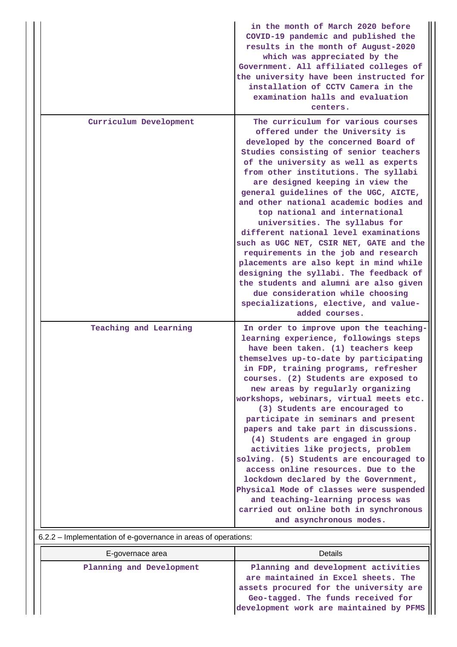|                        | in the month of March 2020 before<br>COVID-19 pandemic and published the<br>results in the month of August-2020<br>which was appreciated by the<br>Government. All affiliated colleges of<br>the university have been instructed for<br>installation of CCTV Camera in the<br>examination halls and evaluation<br>centers.                                                                                                                                                                                                                                                                                                                                                                                                                                                                                |
|------------------------|-----------------------------------------------------------------------------------------------------------------------------------------------------------------------------------------------------------------------------------------------------------------------------------------------------------------------------------------------------------------------------------------------------------------------------------------------------------------------------------------------------------------------------------------------------------------------------------------------------------------------------------------------------------------------------------------------------------------------------------------------------------------------------------------------------------|
| Curriculum Development | The curriculum for various courses<br>offered under the University is<br>developed by the concerned Board of<br>Studies consisting of senior teachers<br>of the university as well as experts<br>from other institutions. The syllabi<br>are designed keeping in view the<br>general guidelines of the UGC, AICTE,<br>and other national academic bodies and<br>top national and international<br>universities. The syllabus for<br>different national level examinations<br>such as UGC NET, CSIR NET, GATE and the<br>requirements in the job and research<br>placements are also kept in mind while<br>designing the syllabi. The feedback of<br>the students and alumni are also given<br>due consideration while choosing<br>specializations, elective, and value-<br>added courses.                 |
| Teaching and Learning  | In order to improve upon the teaching-<br>learning experience, followings steps<br>have been taken. (1) teachers keep<br>themselves up-to-date by participating<br>in FDP, training programs, refresher<br>courses. (2) Students are exposed to<br>new areas by regularly organizing<br>workshops, webinars, virtual meets etc.<br>(3) Students are encouraged to<br>participate in seminars and present<br>papers and take part in discussions.<br>(4) Students are engaged in group<br>activities like projects, problem<br>solving. (5) Students are encouraged to<br>access online resources. Due to the<br>lockdown declared by the Government,<br>Physical Mode of classes were suspended<br>and teaching-learning process was<br>carried out online both in synchronous<br>and asynchronous modes. |

| 6.2.2 - Implementation of e-governance in areas of operations: |  |
|----------------------------------------------------------------|--|
|                                                                |  |
|                                                                |  |

| E-governace area         | Details                                                                                                                                                                                               |
|--------------------------|-------------------------------------------------------------------------------------------------------------------------------------------------------------------------------------------------------|
| Planning and Development | Planning and development activities<br>are maintained in Excel sheets. The<br>assets procured for the university are<br>Geo-tagged. The funds received for<br>development work are maintained by PFMS |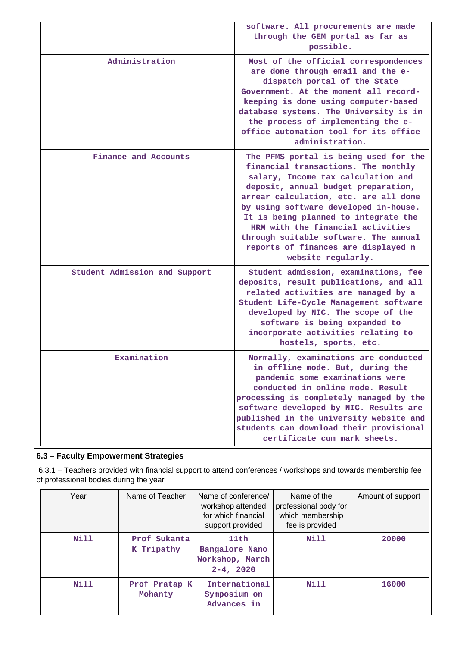|                                                                                                                                                         | software. All procurements are made<br>through the GEM portal as far as<br>possible.                                                                                                                                                                                                                                                                                                                                           |
|---------------------------------------------------------------------------------------------------------------------------------------------------------|--------------------------------------------------------------------------------------------------------------------------------------------------------------------------------------------------------------------------------------------------------------------------------------------------------------------------------------------------------------------------------------------------------------------------------|
| Administration                                                                                                                                          | Most of the official correspondences<br>are done through email and the e-<br>dispatch portal of the State<br>Government. At the moment all record-<br>keeping is done using computer-based<br>database systems. The University is in<br>the process of implementing the e-<br>office automation tool for its office<br>administration.                                                                                         |
| Finance and Accounts                                                                                                                                    | The PFMS portal is being used for the<br>financial transactions. The monthly<br>salary, Income tax calculation and<br>deposit, annual budget preparation,<br>arrear calculation, etc. are all done<br>by using software developed in-house.<br>It is being planned to integrate the<br>HRM with the financial activities<br>through suitable software. The annual<br>reports of finances are displayed n<br>website regularly. |
| Student Admission and Support                                                                                                                           | Student admission, examinations, fee<br>deposits, result publications, and all<br>related activities are managed by a<br>Student Life-Cycle Management software<br>developed by NIC. The scope of the<br>software is being expanded to<br>incorporate activities relating to<br>hostels, sports, etc.                                                                                                                          |
| Examination                                                                                                                                             | Normally, examinations are conducted<br>in offline mode. But, during the<br>pandemic some examinations were<br>conducted in online mode. Result<br>processing is completely managed by the<br>software developed by NIC. Results are<br>published in the university website and<br>students can download their provisional<br>certificate cum mark sheets.                                                                     |
| 6.3 - Faculty Empowerment Strategies                                                                                                                    |                                                                                                                                                                                                                                                                                                                                                                                                                                |
| 6.3.1 – Teachers provided with financial support to attend conferences / workshops and towards membership fee<br>of professional bodies during the year |                                                                                                                                                                                                                                                                                                                                                                                                                                |

| Year | Name of Teacher            | Name of conference/<br>workshop attended<br>for which financial<br>support provided | Name of the<br>professional body for<br>which membership<br>fee is provided | Amount of support |
|------|----------------------------|-------------------------------------------------------------------------------------|-----------------------------------------------------------------------------|-------------------|
| Nill | Prof Sukanta<br>K Tripathy | 11th<br>Bangalore Nano<br>Workshop, March<br>$2 - 4, 2020$                          | Nill                                                                        | 20000             |
| Nill | Prof Pratap K<br>Mohanty   | International<br>Symposium on<br>Advances in                                        | <b>Nill</b>                                                                 | 16000             |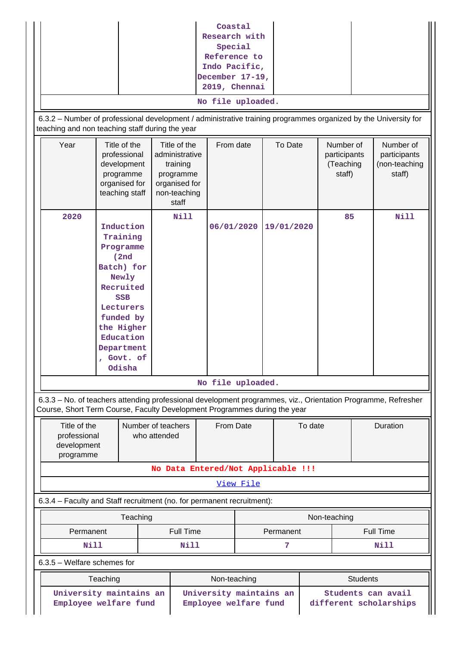| Coastal<br>Research with<br>Special<br>Reference to<br>Indo Pacific,<br>December 17-19,<br>2019, Chennai<br>No file uploaded.<br>6.3.2 - Number of professional development / administrative training programmes organized by the University for<br>teaching and non teaching staff during the year |  |                                                                                                                                                                                          |              |                                                                                                   |                                 |           |                                    |         |                                                  |                  |                                                                                                               |
|-----------------------------------------------------------------------------------------------------------------------------------------------------------------------------------------------------------------------------------------------------------------------------------------------------|--|------------------------------------------------------------------------------------------------------------------------------------------------------------------------------------------|--------------|---------------------------------------------------------------------------------------------------|---------------------------------|-----------|------------------------------------|---------|--------------------------------------------------|------------------|---------------------------------------------------------------------------------------------------------------|
| Year                                                                                                                                                                                                                                                                                                |  | Title of the<br>professional<br>development<br>programme<br>organised for<br>teaching staff                                                                                              |              | Title of the<br>administrative<br>training<br>programme<br>organised for<br>non-teaching<br>staff | From date                       |           | To Date                            |         | Number of<br>participants<br>(Teaching<br>staff) |                  | Number of<br>participants<br>(non-teaching<br>staff)                                                          |
| 2020                                                                                                                                                                                                                                                                                                |  | Induction<br>Training<br>Programme<br>(2nd)<br>Batch) for<br>Newly<br>Recruited<br><b>SSB</b><br>Lecturers<br>funded by<br>the Higher<br>Education<br>Department<br>, Govt. of<br>Odisha |              | <b>Nill</b>                                                                                       | 06/01/2020<br>No file uploaded. |           | 19/01/2020                         |         | 85                                               |                  | Nill                                                                                                          |
| Course, Short Term Course, Faculty Development Programmes during the year                                                                                                                                                                                                                           |  |                                                                                                                                                                                          |              |                                                                                                   |                                 |           |                                    |         |                                                  |                  | 6.3.3 - No. of teachers attending professional development programmes, viz., Orientation Programme, Refresher |
| Title of the<br>professional<br>development<br>programme                                                                                                                                                                                                                                            |  | Number of teachers                                                                                                                                                                       | who attended |                                                                                                   | From Date                       |           |                                    | To date |                                                  |                  | Duration                                                                                                      |
|                                                                                                                                                                                                                                                                                                     |  |                                                                                                                                                                                          |              |                                                                                                   | View File                       |           | No Data Entered/Not Applicable !!! |         |                                                  |                  |                                                                                                               |
| 6.3.4 - Faculty and Staff recruitment (no. for permanent recruitment):                                                                                                                                                                                                                              |  |                                                                                                                                                                                          |              |                                                                                                   |                                 |           |                                    |         |                                                  |                  |                                                                                                               |
|                                                                                                                                                                                                                                                                                                     |  | Teaching                                                                                                                                                                                 |              |                                                                                                   |                                 |           |                                    |         | Non-teaching                                     |                  |                                                                                                               |
| Permanent                                                                                                                                                                                                                                                                                           |  |                                                                                                                                                                                          |              | Full Time                                                                                         |                                 | Permanent |                                    |         |                                                  | <b>Full Time</b> |                                                                                                               |
| <b>Nill</b>                                                                                                                                                                                                                                                                                         |  |                                                                                                                                                                                          |              | Nill                                                                                              |                                 |           | 7                                  |         |                                                  |                  | Nill                                                                                                          |
| $6.3.5$ – Welfare schemes for                                                                                                                                                                                                                                                                       |  |                                                                                                                                                                                          |              |                                                                                                   |                                 |           |                                    |         |                                                  |                  |                                                                                                               |
| Non-teaching<br><b>Students</b><br>Teaching<br>University maintains an<br>University maintains an<br>Students can avail<br>Employee welfare fund<br>Employee welfare fund<br>different scholarships                                                                                                 |  |                                                                                                                                                                                          |              |                                                                                                   |                                 |           |                                    |         |                                                  |                  |                                                                                                               |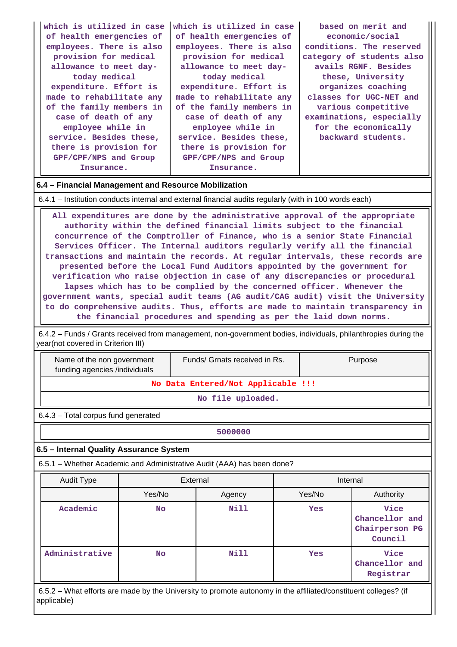| which is utilized in case                                                                              | which is utilized in case | based on merit and        |  |  |  |  |  |  |
|--------------------------------------------------------------------------------------------------------|---------------------------|---------------------------|--|--|--|--|--|--|
| of health emergencies of                                                                               | of health emergencies of  | economic/social           |  |  |  |  |  |  |
| employees. There is also                                                                               | employees. There is also  | conditions. The reserved  |  |  |  |  |  |  |
| provision for medical                                                                                  | provision for medical     | category of students also |  |  |  |  |  |  |
| allowance to meet day-                                                                                 | allowance to meet day-    | avails RGNF. Besides      |  |  |  |  |  |  |
| today medical                                                                                          | today medical             | these, University         |  |  |  |  |  |  |
| expenditure. Effort is                                                                                 | expenditure. Effort is    | organizes coaching        |  |  |  |  |  |  |
| made to rehabilitate any                                                                               | made to rehabilitate any  | classes for UGC-NET and   |  |  |  |  |  |  |
| of the family members in                                                                               | of the family members in  | various competitive       |  |  |  |  |  |  |
| case of death of any                                                                                   | case of death of any      | examinations, especially  |  |  |  |  |  |  |
| employee while in                                                                                      | employee while in         | for the economically      |  |  |  |  |  |  |
| service. Besides these,                                                                                | service. Besides these,   | backward students.        |  |  |  |  |  |  |
| there is provision for                                                                                 | there is provision for    |                           |  |  |  |  |  |  |
| GPF/CPF/NPS and Group                                                                                  | GPF/CPF/NPS and Group     |                           |  |  |  |  |  |  |
| Insurance.                                                                                             | Insurance.                |                           |  |  |  |  |  |  |
| 6.4 – Financial Management and Resource Mobilization                                                   |                           |                           |  |  |  |  |  |  |
| 6.4.1 – Institution conducts internal and external financial audits regularly (with in 100 words each) |                           |                           |  |  |  |  |  |  |

 **All expenditures are done by the administrative approval of the appropriate authority within the defined financial limits subject to the financial concurrence of the Comptroller of Finance, who is a senior State Financial Services Officer. The Internal auditors regularly verify all the financial transactions and maintain the records. At regular intervals, these records are presented before the Local Fund Auditors appointed by the government for verification who raise objection in case of any discrepancies or procedural lapses which has to be complied by the concerned officer. Whenever the government wants, special audit teams (AG audit/CAG audit) visit the University to do comprehensive audits. Thus, efforts are made to maintain transparency in the financial procedures and spending as per the laid down norms.**

 6.4.2 – Funds / Grants received from management, non-government bodies, individuals, philanthropies during the year(not covered in Criterion III)

 Name of the non government funding agencies /individuals

Funds/ Grnats received in Rs. | Purpose

**No Data Entered/Not Applicable !!!**

**No file uploaded.**

6.4.3 – Total corpus fund generated

**5000000**

## **6.5 – Internal Quality Assurance System**

6.5.1 – Whether Academic and Administrative Audit (AAA) has been done?

| Audit Type     | External |             | Internal |                                                     |  |
|----------------|----------|-------------|----------|-----------------------------------------------------|--|
|                | Yes/No   | Agency      | Yes/No   | Authority                                           |  |
| Academic       | No.      | <b>Nill</b> | Yes      | Vice<br>Chancellor and<br>Chairperson PG<br>Council |  |
| Administrative | No.      | Nill        | Yes      | Vice<br>Chancellor and<br>Registrar                 |  |

 6.5.2 – What efforts are made by the University to promote autonomy in the affiliated/constituent colleges? (if applicable)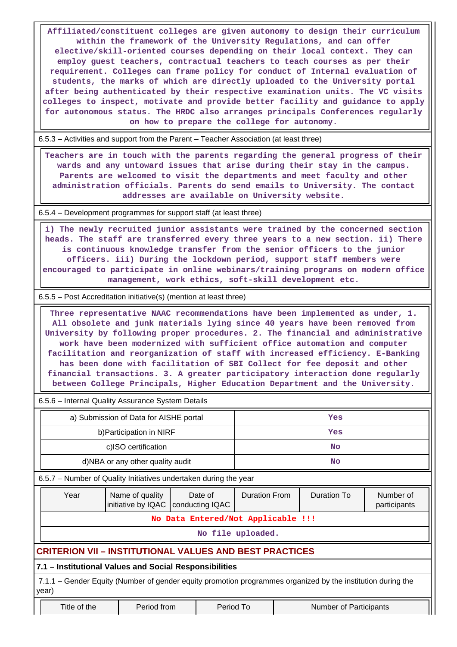**Affiliated/constituent colleges are given autonomy to design their curriculum within the framework of the University Regulations, and can offer elective/skill-oriented courses depending on their local context. They can employ guest teachers, contractual teachers to teach courses as per their requirement. Colleges can frame policy for conduct of Internal evaluation of students, the marks of which are directly uploaded to the University portal after being authenticated by their respective examination units. The VC visits colleges to inspect, motivate and provide better facility and guidance to apply for autonomous status. The HRDC also arranges principals Conferences regularly on how to prepare the college for autonomy.**

6.5.3 – Activities and support from the Parent – Teacher Association (at least three)

 **Teachers are in touch with the parents regarding the general progress of their wards and any untoward issues that arise during their stay in the campus. Parents are welcomed to visit the departments and meet faculty and other administration officials. Parents do send emails to University. The contact addresses are available on University website.**

6.5.4 – Development programmes for support staff (at least three)

 **i) The newly recruited junior assistants were trained by the concerned section heads. The staff are transferred every three years to a new section. ii) There is continuous knowledge transfer from the senior officers to the junior officers. iii) During the lockdown period, support staff members were encouraged to participate in online webinars/training programs on modern office management, work ethics, soft-skill development etc.**

6.5.5 – Post Accreditation initiative(s) (mention at least three)

 **Three representative NAAC recommendations have been implemented as under, 1. All obsolete and junk materials lying since 40 years have been removed from University by following proper procedures. 2. The financial and administrative work have been modernized with sufficient office automation and computer facilitation and reorganization of staff with increased efficiency. E-Banking has been done with facilitation of SBI Collect for fee deposit and other financial transactions. 3. A greater participatory interaction done regularly between College Principals, Higher Education Department and the University.**

6.5.6 – Internal Quality Assurance System Details

| a) Submission of Data for AISHE portal | Yes |
|----------------------------------------|-----|
| b) Participation in NIRF               | Yes |
| c)ISO certification                    | No  |
| d)NBA or any other quality audit       | No  |

6.5.7 – Number of Quality Initiatives undertaken during the year

| Year                                                                                                                 | Name of quality                                                | Date of<br>initiative by IQAC   conducting IQAC | <b>Duration From</b> | Duration To | Number of<br>participants |  |  |  |
|----------------------------------------------------------------------------------------------------------------------|----------------------------------------------------------------|-------------------------------------------------|----------------------|-------------|---------------------------|--|--|--|
|                                                                                                                      | No Data Entered/Not Applicable !!!                             |                                                 |                      |             |                           |  |  |  |
|                                                                                                                      |                                                                |                                                 | No file uploaded.    |             |                           |  |  |  |
|                                                                                                                      | <b>CRITERION VII - INSTITUTIONAL VALUES AND BEST PRACTICES</b> |                                                 |                      |             |                           |  |  |  |
|                                                                                                                      | 7.1 - Institutional Values and Social Responsibilities         |                                                 |                      |             |                           |  |  |  |
| 7.1.1 – Gender Equity (Number of gender equity promotion programmes organized by the institution during the<br>year) |                                                                |                                                 |                      |             |                           |  |  |  |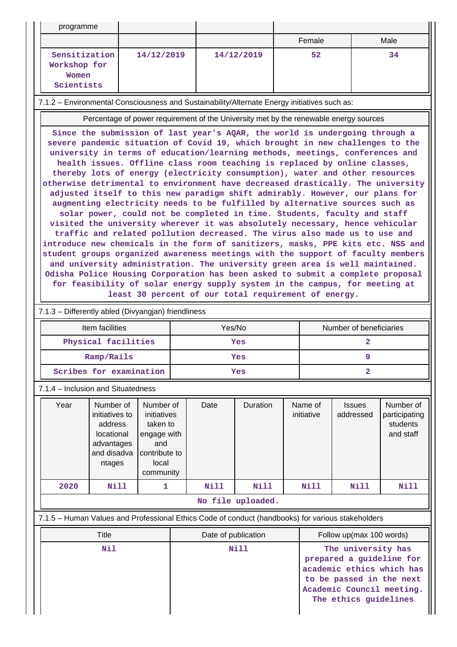| programme                                            |            |            |        |      |
|------------------------------------------------------|------------|------------|--------|------|
|                                                      |            |            | Female | Male |
| Sensitization<br>Workshop for<br>Women<br>Scientists | 14/12/2019 | 14/12/2019 | 52     | 34   |

7.1.2 – Environmental Consciousness and Sustainability/Alternate Energy initiatives such as:

Percentage of power requirement of the University met by the renewable energy sources

**Since the submission of last year's AQAR, the world is undergoing through a severe pandemic situation of Covid 19, which brought in new challenges to the university in terms of education/learning methods, meetings, conferences and health issues. Offline class room teaching is replaced by online classes, thereby lots of energy (electricity consumption), water and other resources otherwise detrimental to environment have decreased drastically. The university adjusted itself to this new paradigm shift admirably. However, our plans for augmenting electricity needs to be fulfilled by alternative sources such as solar power, could not be completed in time. Students, faculty and staff visited the university wherever it was absolutely necessary, hence vehicular traffic and related pollution decreased. The virus also made us to use and introduce new chemicals in the form of sanitizers, masks, PPE kits etc. NSS and student groups organized awareness meetings with the support of faculty members and university administration. The university green area is well maintained. Odisha Police Housing Corporation has been asked to submit a complete proposal for feasibility of solar energy supply system in the campus, for meeting at least 30 percent of our total requirement of energy.**

## 7.1.3 – Differently abled (Divyangjan) friendliness

| Item facilities         | Yes/No | Number of beneficiaries |  |  |
|-------------------------|--------|-------------------------|--|--|
| Physical facilities     | Yes    |                         |  |  |
| Ramp/Rails              | Yes    |                         |  |  |
| Scribes for examination | Yes    |                         |  |  |

7.1.4 – Inclusion and Situatedness

| Year              | Number of<br>initiatives to<br>address<br>locational<br>advantages<br>and disadva<br>ntages | Number of<br>initiatives<br>taken to<br>engage with<br>and<br>contribute to<br>local<br>community | Date | <b>Duration</b> | Name of<br>initiative | <b>Issues</b><br>addressed | Number of<br>participating<br>students<br>and staff |
|-------------------|---------------------------------------------------------------------------------------------|---------------------------------------------------------------------------------------------------|------|-----------------|-----------------------|----------------------------|-----------------------------------------------------|
| 2020              | Nill                                                                                        |                                                                                                   | Nill | Nill            | Nill                  | Nill                       | <b>Nill</b>                                         |
| No file uploaded. |                                                                                             |                                                                                                   |      |                 |                       |                            |                                                     |

## 7.1.5 – Human Values and Professional Ethics Code of conduct (handbooks) for various stakeholders

| Title | Date of publication | Follow up(max 100 words)                                                                                                                                      |  |  |  |
|-------|---------------------|---------------------------------------------------------------------------------------------------------------------------------------------------------------|--|--|--|
| Nil   | Nill                | The university has<br>prepared a guideline for<br>academic ethics which has<br>to be passed in the next<br>Academic Council meeting.<br>The ethics guidelines |  |  |  |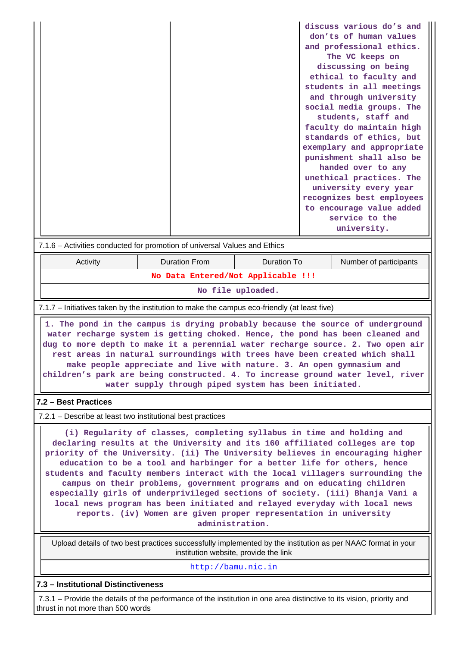| 7.1.6 – Activities conducted for promotion of universal Values and Ethics                                                                                                                                                                                                                                                                                                                                                                                                                                                                                                                                                                                                                                                              |                                                                                                                                                                                                                                                                                                                                                                                                                                                                                                                                                        |                      |                                    |  | discuss various do's and<br>don'ts of human values<br>and professional ethics.<br>The VC keeps on<br>discussing on being<br>ethical to faculty and<br>students in all meetings<br>and through university<br>social media groups. The<br>students, staff and<br>faculty do maintain high<br>standards of ethics, but<br>exemplary and appropriate<br>punishment shall also be<br>handed over to any<br>unethical practices. The<br>university every year<br>recognizes best employees<br>to encourage value added<br>service to the<br>university. |  |  |
|----------------------------------------------------------------------------------------------------------------------------------------------------------------------------------------------------------------------------------------------------------------------------------------------------------------------------------------------------------------------------------------------------------------------------------------------------------------------------------------------------------------------------------------------------------------------------------------------------------------------------------------------------------------------------------------------------------------------------------------|--------------------------------------------------------------------------------------------------------------------------------------------------------------------------------------------------------------------------------------------------------------------------------------------------------------------------------------------------------------------------------------------------------------------------------------------------------------------------------------------------------------------------------------------------------|----------------------|------------------------------------|--|---------------------------------------------------------------------------------------------------------------------------------------------------------------------------------------------------------------------------------------------------------------------------------------------------------------------------------------------------------------------------------------------------------------------------------------------------------------------------------------------------------------------------------------------------|--|--|
| Activity                                                                                                                                                                                                                                                                                                                                                                                                                                                                                                                                                                                                                                                                                                                               |                                                                                                                                                                                                                                                                                                                                                                                                                                                                                                                                                        | <b>Duration From</b> | <b>Duration To</b>                 |  | Number of participants                                                                                                                                                                                                                                                                                                                                                                                                                                                                                                                            |  |  |
|                                                                                                                                                                                                                                                                                                                                                                                                                                                                                                                                                                                                                                                                                                                                        |                                                                                                                                                                                                                                                                                                                                                                                                                                                                                                                                                        |                      | No Data Entered/Not Applicable !!! |  |                                                                                                                                                                                                                                                                                                                                                                                                                                                                                                                                                   |  |  |
|                                                                                                                                                                                                                                                                                                                                                                                                                                                                                                                                                                                                                                                                                                                                        |                                                                                                                                                                                                                                                                                                                                                                                                                                                                                                                                                        |                      | No file uploaded.                  |  |                                                                                                                                                                                                                                                                                                                                                                                                                                                                                                                                                   |  |  |
| 7.1.7 – Initiatives taken by the institution to make the campus eco-friendly (at least five)                                                                                                                                                                                                                                                                                                                                                                                                                                                                                                                                                                                                                                           |                                                                                                                                                                                                                                                                                                                                                                                                                                                                                                                                                        |                      |                                    |  |                                                                                                                                                                                                                                                                                                                                                                                                                                                                                                                                                   |  |  |
|                                                                                                                                                                                                                                                                                                                                                                                                                                                                                                                                                                                                                                                                                                                                        | 1. The pond in the campus is drying probably because the source of underground<br>water recharge system is getting choked. Hence, the pond has been cleaned and<br>dug to more depth to make it a perennial water recharge source. 2. Two open air<br>rest areas in natural surroundings with trees have been created which shall<br>make people appreciate and live with nature. 3. An open gymnasium and<br>children's park are being constructed. 4. To increase ground water level, river<br>water supply through piped system has been initiated. |                      |                                    |  |                                                                                                                                                                                                                                                                                                                                                                                                                                                                                                                                                   |  |  |
| 7.2 - Best Practices                                                                                                                                                                                                                                                                                                                                                                                                                                                                                                                                                                                                                                                                                                                   |                                                                                                                                                                                                                                                                                                                                                                                                                                                                                                                                                        |                      |                                    |  |                                                                                                                                                                                                                                                                                                                                                                                                                                                                                                                                                   |  |  |
| 7.2.1 - Describe at least two institutional best practices                                                                                                                                                                                                                                                                                                                                                                                                                                                                                                                                                                                                                                                                             |                                                                                                                                                                                                                                                                                                                                                                                                                                                                                                                                                        |                      |                                    |  |                                                                                                                                                                                                                                                                                                                                                                                                                                                                                                                                                   |  |  |
| (i) Regularity of classes, completing syllabus in time and holding and<br>declaring results at the University and its 160 affiliated colleges are top<br>priority of the University. (ii) The University believes in encouraging higher<br>education to be a tool and harbinger for a better life for others, hence<br>students and faculty members interact with the local villagers surrounding the<br>campus on their problems, government programs and on educating children<br>especially girls of underprivileged sections of society. (iii) Bhanja Vani a<br>local news program has been initiated and relayed everyday with local news<br>reports. (iv) Women are given proper representation in university<br>administration. |                                                                                                                                                                                                                                                                                                                                                                                                                                                                                                                                                        |                      |                                    |  |                                                                                                                                                                                                                                                                                                                                                                                                                                                                                                                                                   |  |  |
|                                                                                                                                                                                                                                                                                                                                                                                                                                                                                                                                                                                                                                                                                                                                        | Upload details of two best practices successfully implemented by the institution as per NAAC format in your<br>institution website, provide the link                                                                                                                                                                                                                                                                                                                                                                                                   |                      |                                    |  |                                                                                                                                                                                                                                                                                                                                                                                                                                                                                                                                                   |  |  |
|                                                                                                                                                                                                                                                                                                                                                                                                                                                                                                                                                                                                                                                                                                                                        | http://bamu.nic.in                                                                                                                                                                                                                                                                                                                                                                                                                                                                                                                                     |                      |                                    |  |                                                                                                                                                                                                                                                                                                                                                                                                                                                                                                                                                   |  |  |
| 7.3 - Institutional Distinctiveness                                                                                                                                                                                                                                                                                                                                                                                                                                                                                                                                                                                                                                                                                                    |                                                                                                                                                                                                                                                                                                                                                                                                                                                                                                                                                        |                      |                                    |  |                                                                                                                                                                                                                                                                                                                                                                                                                                                                                                                                                   |  |  |
| 7.3.1 – Provide the details of the performance of the institution in one area distinctive to its vision, priority and<br>thrust in not more than 500 words                                                                                                                                                                                                                                                                                                                                                                                                                                                                                                                                                                             |                                                                                                                                                                                                                                                                                                                                                                                                                                                                                                                                                        |                      |                                    |  |                                                                                                                                                                                                                                                                                                                                                                                                                                                                                                                                                   |  |  |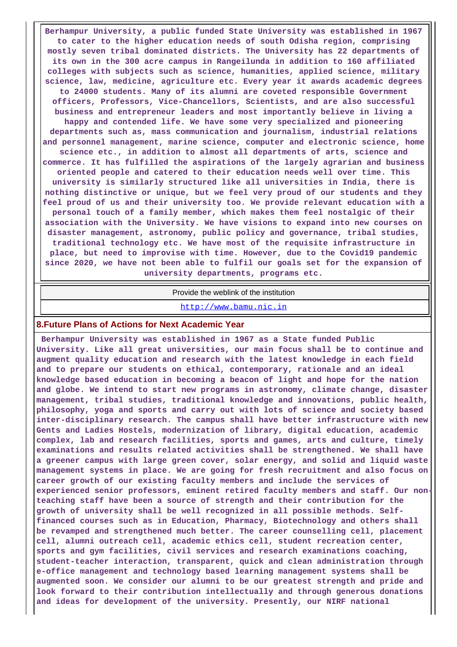**Berhampur University, a public funded State University was established in 1967 to cater to the higher education needs of south Odisha region, comprising mostly seven tribal dominated districts. The University has 22 departments of its own in the 300 acre campus in Rangeilunda in addition to 160 affiliated colleges with subjects such as science, humanities, applied science, military science, law, medicine, agriculture etc. Every year it awards academic degrees to 24000 students. Many of its alumni are coveted responsible Government officers, Professors, Vice-Chancellors, Scientists, and are also successful business and entrepreneur leaders and most importantly believe in living a happy and contended life. We have some very specialized and pioneering departments such as, mass communication and journalism, industrial relations and personnel management, marine science, computer and electronic science, home science etc., in addition to almost all departments of arts, science and commerce. It has fulfilled the aspirations of the largely agrarian and business oriented people and catered to their education needs well over time. This university is similarly structured like all universities in India, there is nothing distinctive or unique, but we feel very proud of our students and they feel proud of us and their university too. We provide relevant education with a personal touch of a family member, which makes them feel nostalgic of their association with the University. We have visions to expand into new courses on disaster management, astronomy, public policy and governance, tribal studies, traditional technology etc. We have most of the requisite infrastructure in place, but need to improvise with time. However, due to the Covid19 pandemic since 2020, we have not been able to fulfil our goals set for the expansion of university departments, programs etc.**

#### Provide the weblink of the institution

#### <http://www.bamu.nic.in>

#### **8.Future Plans of Actions for Next Academic Year**

 **Berhampur University was established in 1967 as a State funded Public University. Like all great universities, our main focus shall be to continue and augment quality education and research with the latest knowledge in each field and to prepare our students on ethical, contemporary, rationale and an ideal knowledge based education in becoming a beacon of light and hope for the nation and globe. We intend to start new programs in astronomy, climate change, disaster management, tribal studies, traditional knowledge and innovations, public health, philosophy, yoga and sports and carry out with lots of science and society based inter-disciplinary research. The campus shall have better infrastructure with new Gents and Ladies Hostels, modernization of library, digital education, academic complex, lab and research facilities, sports and games, arts and culture, timely examinations and results related activities shall be strengthened. We shall have a greener campus with large green cover, solar energy, and solid and liquid waste management systems in place. We are going for fresh recruitment and also focus on career growth of our existing faculty members and include the services of experienced senior professors, eminent retired faculty members and staff. Our nonteaching staff have been a source of strength and their contribution for the growth of university shall be well recognized in all possible methods. Selffinanced courses such as in Education, Pharmacy, Biotechnology and others shall be revamped and strengthened much better. The career counselling cell, placement cell, alumni outreach cell, academic ethics cell, student recreation center, sports and gym facilities, civil services and research examinations coaching, student-teacher interaction, transparent, quick and clean administration through e-office management and technology based learning management systems shall be augmented soon. We consider our alumni to be our greatest strength and pride and look forward to their contribution intellectually and through generous donations and ideas for development of the university. Presently, our NIRF national**